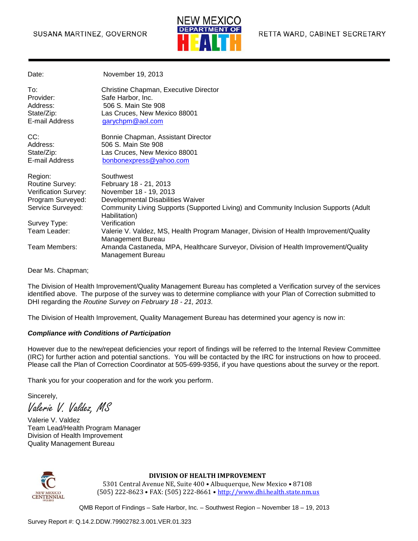### SUSANA MARTINEZ, GOVERNOR



| Date:                | November 19, 2013                                                                                          |
|----------------------|------------------------------------------------------------------------------------------------------------|
| To:                  | Christine Chapman, Executive Director                                                                      |
| Provider:            | Safe Harbor, Inc.<br>506 S. Main Ste 908                                                                   |
| Address:             |                                                                                                            |
| State/Zip:           | Las Cruces, New Mexico 88001                                                                               |
| E-mail Address       | garychpm@aol.com                                                                                           |
| CC:                  | Bonnie Chapman, Assistant Director                                                                         |
| Address:             | 506 S. Main Ste 908                                                                                        |
| State/Zip:           | Las Cruces, New Mexico 88001                                                                               |
| E-mail Address       | bonbonexpress@yahoo.com                                                                                    |
| Region:              | Southwest                                                                                                  |
| Routine Survey:      | February 18 - 21, 2013                                                                                     |
| Verification Survey: | November 18 - 19, 2013                                                                                     |
| Program Surveyed:    | Developmental Disabilities Waiver                                                                          |
| Service Surveyed:    | Community Living Supports (Supported Living) and Community Inclusion Supports (Adult<br>Habilitation)      |
| Survey Type:         | Verification                                                                                               |
| Team Leader:         | Valerie V. Valdez, MS, Health Program Manager, Division of Health Improvement/Quality<br>Management Bureau |
| Team Members:        | Amanda Castaneda, MPA, Healthcare Surveyor, Division of Health Improvement/Quality<br>Management Bureau    |

Dear Ms. Chapman;

The Division of Health Improvement/Quality Management Bureau has completed a Verification survey of the services identified above. The purpose of the survey was to determine compliance with your Plan of Correction submitted to DHI regarding the *Routine Survey on February 18 - 21, 2013*.

The Division of Health Improvement, Quality Management Bureau has determined your agency is now in:

#### *Compliance with Conditions of Participation*

However due to the new/repeat deficiencies your report of findings will be referred to the Internal Review Committee (IRC) for further action and potential sanctions. You will be contacted by the IRC for instructions on how to proceed. Please call the Plan of Correction Coordinator at 505-699-9356, if you have questions about the survey or the report.

Thank you for your cooperation and for the work you perform.

Sincerely,

Valerie V. Valdez, MS

Valerie V. Valdez Team Lead/Health Program Manager Division of Health Improvement Quality Management Bureau



#### **DIVISION OF HEALTH IMPROVEMENT**

5301 Central Avenue NE, Suite 400 • Albuquerque, New Mexico • 87108 (505) 222-8623 • FAX: (505) 222-8661 • [http://www.dhi.health.state.nm.us](http://www.dhi.health.state.nm.us/)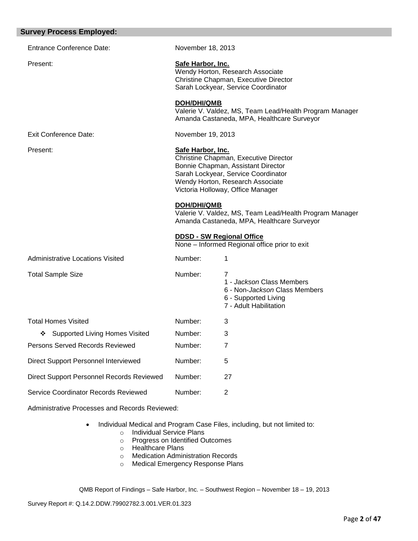| <b>Survey Process Employed:</b>                |                                                                                                                                       |                                                                                                                                                                                             |
|------------------------------------------------|---------------------------------------------------------------------------------------------------------------------------------------|---------------------------------------------------------------------------------------------------------------------------------------------------------------------------------------------|
| <b>Entrance Conference Date:</b>               | November 18, 2013                                                                                                                     |                                                                                                                                                                                             |
| Present:                                       | Safe Harbor, Inc.<br>Wendy Horton, Research Associate<br>Christine Chapman, Executive Director<br>Sarah Lockyear, Service Coordinator |                                                                                                                                                                                             |
|                                                | DOH/DHI/QMB                                                                                                                           | Valerie V. Valdez, MS, Team Lead/Health Program Manager<br>Amanda Castaneda, MPA, Healthcare Surveyor                                                                                       |
| <b>Exit Conference Date:</b>                   | November 19, 2013                                                                                                                     |                                                                                                                                                                                             |
| Present:                                       | Safe Harbor, Inc.                                                                                                                     | Christine Chapman, Executive Director<br>Bonnie Chapman, Assistant Director<br>Sarah Lockyear, Service Coordinator<br>Wendy Horton, Research Associate<br>Victoria Holloway, Office Manager |
|                                                | <b>DOH/DHI/QMB</b>                                                                                                                    | Valerie V. Valdez, MS, Team Lead/Health Program Manager<br>Amanda Castaneda, MPA, Healthcare Surveyor                                                                                       |
|                                                |                                                                                                                                       | <b>DDSD - SW Regional Office</b><br>None - Informed Regional office prior to exit                                                                                                           |
| Administrative Locations Visited               | Number:                                                                                                                               | 1                                                                                                                                                                                           |
| <b>Total Sample Size</b>                       | Number:                                                                                                                               | 7<br>1 - Jackson Class Members<br>6 - Non- <i>Jackson</i> Class Members<br>6 - Supported Living<br>7 - Adult Habilitation                                                                   |
| <b>Total Homes Visited</b>                     | Number:                                                                                                                               | 3                                                                                                                                                                                           |
| ❖ Supported Living Homes Visited               | Number:                                                                                                                               | 3                                                                                                                                                                                           |
| Persons Served Records Reviewed                | Number:                                                                                                                               | 7                                                                                                                                                                                           |
| Direct Support Personnel Interviewed           | Number:                                                                                                                               | 5                                                                                                                                                                                           |
| Direct Support Personnel Records Reviewed      | Number:                                                                                                                               | 27                                                                                                                                                                                          |
| Service Coordinator Records Reviewed           | Number:                                                                                                                               | $\overline{2}$                                                                                                                                                                              |
| Administrative Processes and Records Reviewed: |                                                                                                                                       |                                                                                                                                                                                             |

- Individual Medical and Program Case Files, including, but not limited to:
	- o Individual Service Plans
	- o Progress on Identified Outcomes
	- o Healthcare Plans
	- o Medication Administration Records
	- o Medical Emergency Response Plans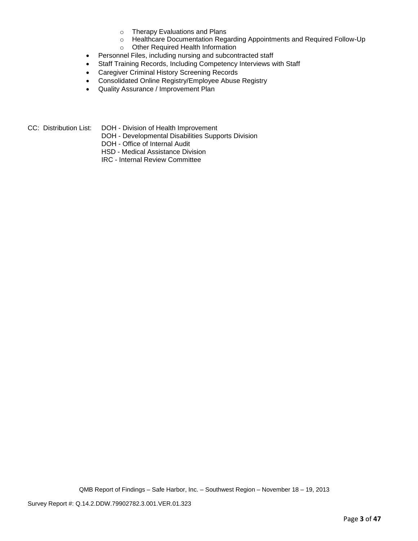- o Therapy Evaluations and Plans
- o Healthcare Documentation Regarding Appointments and Required Follow-Up
- o Other Required Health Information
- Personnel Files, including nursing and subcontracted staff
- Staff Training Records, Including Competency Interviews with Staff
- Caregiver Criminal History Screening Records
- Consolidated Online Registry/Employee Abuse Registry
- Quality Assurance / Improvement Plan

CC: Distribution List: DOH - Division of Health Improvement

DOH - Developmental Disabilities Supports Division

DOH - Office of Internal Audit

HSD - Medical Assistance Division

IRC - Internal Review Committee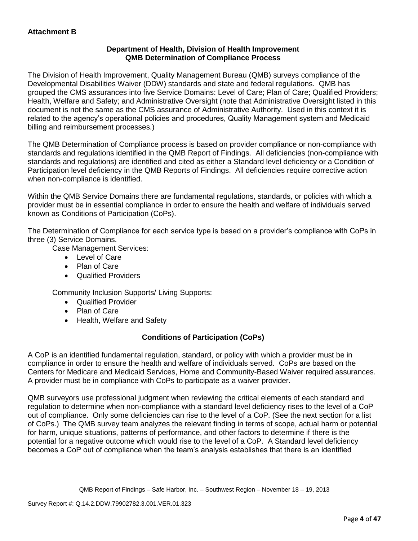## **Department of Health, Division of Health Improvement QMB Determination of Compliance Process**

The Division of Health Improvement, Quality Management Bureau (QMB) surveys compliance of the Developmental Disabilities Waiver (DDW) standards and state and federal regulations. QMB has grouped the CMS assurances into five Service Domains: Level of Care; Plan of Care; Qualified Providers; Health, Welfare and Safety; and Administrative Oversight (note that Administrative Oversight listed in this document is not the same as the CMS assurance of Administrative Authority. Used in this context it is related to the agency's operational policies and procedures, Quality Management system and Medicaid billing and reimbursement processes.)

The QMB Determination of Compliance process is based on provider compliance or non-compliance with standards and regulations identified in the QMB Report of Findings. All deficiencies (non-compliance with standards and regulations) are identified and cited as either a Standard level deficiency or a Condition of Participation level deficiency in the QMB Reports of Findings. All deficiencies require corrective action when non-compliance is identified.

Within the QMB Service Domains there are fundamental regulations, standards, or policies with which a provider must be in essential compliance in order to ensure the health and welfare of individuals served known as Conditions of Participation (CoPs).

The Determination of Compliance for each service type is based on a provider's compliance with CoPs in three (3) Service Domains.

Case Management Services:

- Level of Care
- Plan of Care
- Qualified Providers

Community Inclusion Supports/ Living Supports:

- Qualified Provider
- Plan of Care
- Health, Welfare and Safety

# **Conditions of Participation (CoPs)**

A CoP is an identified fundamental regulation, standard, or policy with which a provider must be in compliance in order to ensure the health and welfare of individuals served. CoPs are based on the Centers for Medicare and Medicaid Services, Home and Community-Based Waiver required assurances. A provider must be in compliance with CoPs to participate as a waiver provider.

QMB surveyors use professional judgment when reviewing the critical elements of each standard and regulation to determine when non-compliance with a standard level deficiency rises to the level of a CoP out of compliance. Only some deficiencies can rise to the level of a CoP. (See the next section for a list of CoPs.) The QMB survey team analyzes the relevant finding in terms of scope, actual harm or potential for harm, unique situations, patterns of performance, and other factors to determine if there is the potential for a negative outcome which would rise to the level of a CoP. A Standard level deficiency becomes a CoP out of compliance when the team's analysis establishes that there is an identified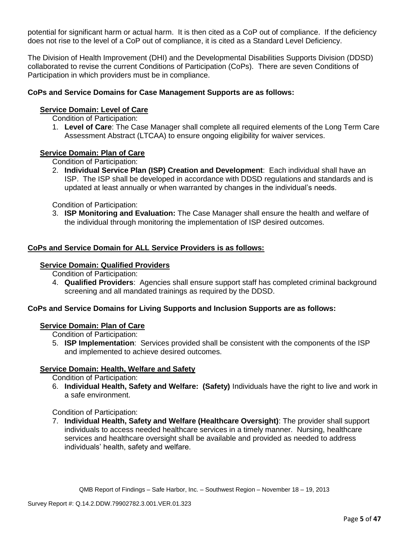potential for significant harm or actual harm. It is then cited as a CoP out of compliance. If the deficiency does not rise to the level of a CoP out of compliance, it is cited as a Standard Level Deficiency.

The Division of Health Improvement (DHI) and the Developmental Disabilities Supports Division (DDSD) collaborated to revise the current Conditions of Participation (CoPs). There are seven Conditions of Participation in which providers must be in compliance.

### **CoPs and Service Domains for Case Management Supports are as follows:**

### **Service Domain: Level of Care**

Condition of Participation:

1. **Level of Care**: The Case Manager shall complete all required elements of the Long Term Care Assessment Abstract (LTCAA) to ensure ongoing eligibility for waiver services.

### **Service Domain: Plan of Care**

Condition of Participation:

2. **Individual Service Plan (ISP) Creation and Development**: Each individual shall have an ISP. The ISP shall be developed in accordance with DDSD regulations and standards and is updated at least annually or when warranted by changes in the individual's needs.

Condition of Participation:

3. **ISP Monitoring and Evaluation:** The Case Manager shall ensure the health and welfare of the individual through monitoring the implementation of ISP desired outcomes.

### **CoPs and Service Domain for ALL Service Providers is as follows:**

#### **Service Domain: Qualified Providers**

Condition of Participation:

4. **Qualified Providers**: Agencies shall ensure support staff has completed criminal background screening and all mandated trainings as required by the DDSD.

### **CoPs and Service Domains for Living Supports and Inclusion Supports are as follows:**

### **Service Domain: Plan of Care**

Condition of Participation:

5. **ISP Implementation**: Services provided shall be consistent with the components of the ISP and implemented to achieve desired outcomes.

### **Service Domain: Health, Welfare and Safety**

Condition of Participation:

6. **Individual Health, Safety and Welfare: (Safety)** Individuals have the right to live and work in a safe environment.

### Condition of Participation:

7. **Individual Health, Safety and Welfare (Healthcare Oversight)**: The provider shall support individuals to access needed healthcare services in a timely manner. Nursing, healthcare services and healthcare oversight shall be available and provided as needed to address individuals' health, safety and welfare.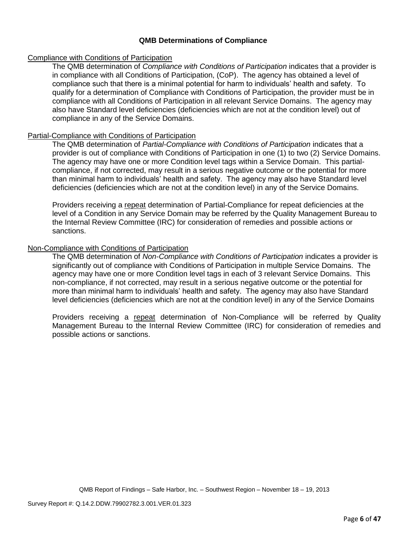### **QMB Determinations of Compliance**

### Compliance with Conditions of Participation

The QMB determination of *Compliance with Conditions of Participation* indicates that a provider is in compliance with all Conditions of Participation, (CoP). The agency has obtained a level of compliance such that there is a minimal potential for harm to individuals' health and safety. To qualify for a determination of Compliance with Conditions of Participation, the provider must be in compliance with all Conditions of Participation in all relevant Service Domains. The agency may also have Standard level deficiencies (deficiencies which are not at the condition level) out of compliance in any of the Service Domains.

### Partial-Compliance with Conditions of Participation

The QMB determination of *Partial-Compliance with Conditions of Participation* indicates that a provider is out of compliance with Conditions of Participation in one (1) to two (2) Service Domains. The agency may have one or more Condition level tags within a Service Domain. This partialcompliance, if not corrected, may result in a serious negative outcome or the potential for more than minimal harm to individuals' health and safety. The agency may also have Standard level deficiencies (deficiencies which are not at the condition level) in any of the Service Domains.

Providers receiving a repeat determination of Partial-Compliance for repeat deficiencies at the level of a Condition in any Service Domain may be referred by the Quality Management Bureau to the Internal Review Committee (IRC) for consideration of remedies and possible actions or sanctions.

### Non-Compliance with Conditions of Participation

The QMB determination of *Non-Compliance with Conditions of Participation* indicates a provider is significantly out of compliance with Conditions of Participation in multiple Service Domains. The agency may have one or more Condition level tags in each of 3 relevant Service Domains. This non-compliance, if not corrected, may result in a serious negative outcome or the potential for more than minimal harm to individuals' health and safety. The agency may also have Standard level deficiencies (deficiencies which are not at the condition level) in any of the Service Domains

Providers receiving a repeat determination of Non-Compliance will be referred by Quality Management Bureau to the Internal Review Committee (IRC) for consideration of remedies and possible actions or sanctions.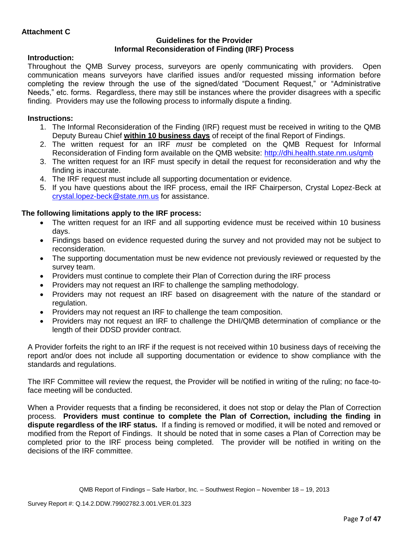### **Guidelines for the Provider Informal Reconsideration of Finding (IRF) Process**

## **Introduction:**

Throughout the QMB Survey process, surveyors are openly communicating with providers. Open communication means surveyors have clarified issues and/or requested missing information before completing the review through the use of the signed/dated "Document Request," or "Administrative Needs," etc. forms. Regardless, there may still be instances where the provider disagrees with a specific finding. Providers may use the following process to informally dispute a finding.

# **Instructions:**

- 1. The Informal Reconsideration of the Finding (IRF) request must be received in writing to the QMB Deputy Bureau Chief **within 10 business days** of receipt of the final Report of Findings.
- 2. The written request for an IRF *must* be completed on the QMB Request for Informal Reconsideration of Finding form available on the QMB website:<http://dhi.health.state.nm.us/qmb>
- 3. The written request for an IRF must specify in detail the request for reconsideration and why the finding is inaccurate.
- 4. The IRF request must include all supporting documentation or evidence.
- 5. If you have questions about the IRF process, email the IRF Chairperson, Crystal Lopez-Beck at [crystal.lopez-beck@state.nm.us](mailto:crystal.lopez-beck@state.nm.us) for assistance.

# **The following limitations apply to the IRF process:**

- The written request for an IRF and all supporting evidence must be received within 10 business days.
- Findings based on evidence requested during the survey and not provided may not be subject to reconsideration.
- The supporting documentation must be new evidence not previously reviewed or requested by the survey team.
- Providers must continue to complete their Plan of Correction during the IRF process
- Providers may not request an IRF to challenge the sampling methodology.
- Providers may not request an IRF based on disagreement with the nature of the standard or regulation.
- Providers may not request an IRF to challenge the team composition.
- Providers may not request an IRF to challenge the DHI/QMB determination of compliance or the length of their DDSD provider contract.

A Provider forfeits the right to an IRF if the request is not received within 10 business days of receiving the report and/or does not include all supporting documentation or evidence to show compliance with the standards and regulations.

The IRF Committee will review the request, the Provider will be notified in writing of the ruling; no face-toface meeting will be conducted.

When a Provider requests that a finding be reconsidered, it does not stop or delay the Plan of Correction process. **Providers must continue to complete the Plan of Correction, including the finding in dispute regardless of the IRF status.** If a finding is removed or modified, it will be noted and removed or modified from the Report of Findings. It should be noted that in some cases a Plan of Correction may be completed prior to the IRF process being completed. The provider will be notified in writing on the decisions of the IRF committee.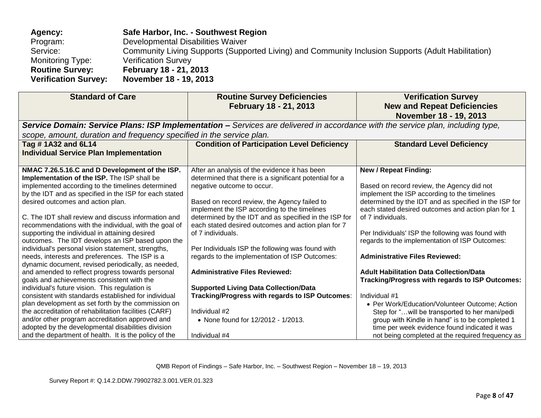| Agency:                     | Safe Harbor, Inc. - Southwest Region                                                               |
|-----------------------------|----------------------------------------------------------------------------------------------------|
| Program:                    | Developmental Disabilities Waiver                                                                  |
| Service:                    | Community Living Supports (Supported Living) and Community Inclusion Supports (Adult Habilitation) |
| <b>Monitoring Type:</b>     | <b>Verification Survey</b>                                                                         |
| <b>Routine Survey:</b>      | February 18 - 21, 2013                                                                             |
| <b>Verification Survey:</b> | November 18 - 19, 2013                                                                             |

| <b>Standard of Care</b>                                                                                                                                                                                                                                                                                                                                                                                                                                                                                                                                                                                                                                                                                                                                                                                                                                                                                                                                                                                             | <b>Routine Survey Deficiencies</b><br>February 18 - 21, 2013                                                                                                                                                                                                                                                                                                                                                                                                                                                                                                                                                                                                                       | <b>Verification Survey</b><br><b>New and Repeat Deficiencies</b><br>November 18 - 19, 2013                                                                                                                                                                                                                                                                                                                                                                                                                                                                                                                                                                                                   |
|---------------------------------------------------------------------------------------------------------------------------------------------------------------------------------------------------------------------------------------------------------------------------------------------------------------------------------------------------------------------------------------------------------------------------------------------------------------------------------------------------------------------------------------------------------------------------------------------------------------------------------------------------------------------------------------------------------------------------------------------------------------------------------------------------------------------------------------------------------------------------------------------------------------------------------------------------------------------------------------------------------------------|------------------------------------------------------------------------------------------------------------------------------------------------------------------------------------------------------------------------------------------------------------------------------------------------------------------------------------------------------------------------------------------------------------------------------------------------------------------------------------------------------------------------------------------------------------------------------------------------------------------------------------------------------------------------------------|----------------------------------------------------------------------------------------------------------------------------------------------------------------------------------------------------------------------------------------------------------------------------------------------------------------------------------------------------------------------------------------------------------------------------------------------------------------------------------------------------------------------------------------------------------------------------------------------------------------------------------------------------------------------------------------------|
|                                                                                                                                                                                                                                                                                                                                                                                                                                                                                                                                                                                                                                                                                                                                                                                                                                                                                                                                                                                                                     | Service Domain: Service Plans: ISP Implementation - Services are delivered in accordance with the service plan, including type,                                                                                                                                                                                                                                                                                                                                                                                                                                                                                                                                                    |                                                                                                                                                                                                                                                                                                                                                                                                                                                                                                                                                                                                                                                                                              |
| scope, amount, duration and frequency specified in the service plan.                                                                                                                                                                                                                                                                                                                                                                                                                                                                                                                                                                                                                                                                                                                                                                                                                                                                                                                                                |                                                                                                                                                                                                                                                                                                                                                                                                                                                                                                                                                                                                                                                                                    |                                                                                                                                                                                                                                                                                                                                                                                                                                                                                                                                                                                                                                                                                              |
| Tag #1A32 and 6L14<br><b>Individual Service Plan Implementation</b>                                                                                                                                                                                                                                                                                                                                                                                                                                                                                                                                                                                                                                                                                                                                                                                                                                                                                                                                                 | <b>Condition of Participation Level Deficiency</b>                                                                                                                                                                                                                                                                                                                                                                                                                                                                                                                                                                                                                                 | <b>Standard Level Deficiency</b>                                                                                                                                                                                                                                                                                                                                                                                                                                                                                                                                                                                                                                                             |
| NMAC 7.26.5.16.C and D Development of the ISP.<br>Implementation of the ISP. The ISP shall be<br>implemented according to the timelines determined<br>by the IDT and as specified in the ISP for each stated<br>desired outcomes and action plan.<br>C. The IDT shall review and discuss information and<br>recommendations with the individual, with the goal of<br>supporting the individual in attaining desired<br>outcomes. The IDT develops an ISP based upon the<br>individual's personal vision statement, strengths,<br>needs, interests and preferences. The ISP is a<br>dynamic document, revised periodically, as needed,<br>and amended to reflect progress towards personal<br>goals and achievements consistent with the<br>individual's future vision. This regulation is<br>consistent with standards established for individual<br>plan development as set forth by the commission on<br>the accreditation of rehabilitation facilities (CARF)<br>and/or other program accreditation approved and | After an analysis of the evidence it has been<br>determined that there is a significant potential for a<br>negative outcome to occur.<br>Based on record review, the Agency failed to<br>implement the ISP according to the timelines<br>determined by the IDT and as specified in the ISP for<br>each stated desired outcomes and action plan for 7<br>of 7 individuals.<br>Per Individuals ISP the following was found with<br>regards to the implementation of ISP Outcomes:<br><b>Administrative Files Reviewed:</b><br><b>Supported Living Data Collection/Data</b><br>Tracking/Progress with regards to ISP Outcomes:<br>Individual #2<br>• None found for 12/2012 - 1/2013. | <b>New / Repeat Finding:</b><br>Based on record review, the Agency did not<br>implement the ISP according to the timelines<br>determined by the IDT and as specified in the ISP for<br>each stated desired outcomes and action plan for 1<br>of 7 individuals.<br>Per Individuals' ISP the following was found with<br>regards to the implementation of ISP Outcomes:<br><b>Administrative Files Reviewed:</b><br><b>Adult Habilitation Data Collection/Data</b><br>Tracking/Progress with regards to ISP Outcomes:<br>Individual #1<br>• Per Work/Education/Volunteer Outcome; Action<br>Step for " will be transported to her mani/pedi<br>group with Kindle in hand" is to be completed 1 |
| adopted by the developmental disabilities division<br>and the department of health. It is the policy of the                                                                                                                                                                                                                                                                                                                                                                                                                                                                                                                                                                                                                                                                                                                                                                                                                                                                                                         | Individual #4                                                                                                                                                                                                                                                                                                                                                                                                                                                                                                                                                                                                                                                                      | time per week evidence found indicated it was<br>not being completed at the required frequency as                                                                                                                                                                                                                                                                                                                                                                                                                                                                                                                                                                                            |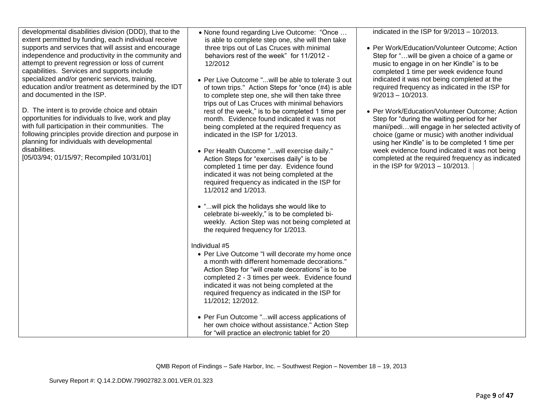| developmental disabilities division (DDD), that to the<br>extent permitted by funding, each individual receive<br>supports and services that will assist and encourage<br>independence and productivity in the community and<br>attempt to prevent regression or loss of current<br>capabilities. Services and supports include<br>specialized and/or generic services, training,<br>education and/or treatment as determined by the IDT<br>and documented in the ISP.<br>D. The intent is to provide choice and obtain<br>opportunities for individuals to live, work and play<br>with full participation in their communities. The<br>following principles provide direction and purpose in<br>planning for individuals with developmental<br>disabilities.<br>[05/03/94; 01/15/97; Recompiled 10/31/01] | • None found regarding Live Outcome: "Once<br>is able to complete step one, she will then take<br>three trips out of Las Cruces with minimal<br>behaviors rest of the week" for 11/2012 -<br>12/2012<br>• Per Live Outcome "will be able to tolerate 3 out<br>of town trips." Action Steps for "once (#4) is able<br>to complete step one, she will then take three<br>trips out of Las Cruces with minimal behaviors<br>rest of the week," is to be completed 1 time per<br>month. Evidence found indicated it was not<br>being completed at the required frequency as<br>indicated in the ISP for 1/2013.<br>• Per Health Outcome " will exercise daily."<br>Action Steps for "exercises daily" is to be<br>completed 1 time per day. Evidence found<br>indicated it was not being completed at the<br>required frequency as indicated in the ISP for<br>11/2012 and 1/2013.<br>• " will pick the holidays she would like to<br>celebrate bi-weekly," is to be completed bi-<br>weekly. Action Step was not being completed at<br>the required frequency for 1/2013.<br>Individual #5<br>• Per Live Outcome "I will decorate my home once<br>a month with different homemade decorations."<br>Action Step for "will create decorations" is to be<br>completed 2 - 3 times per week. Evidence found<br>indicated it was not being completed at the<br>required frequency as indicated in the ISP for<br>11/2012; 12/2012. | indicated in the ISP for $9/2013 - 10/2013$ .<br>• Per Work/Education/Volunteer Outcome; Action<br>Step for " will be given a choice of a game or<br>music to engage in on her Kindle" is to be<br>completed 1 time per week evidence found<br>indicated it was not being completed at the<br>required frequency as indicated in the ISP for<br>$9/2013 - 10/2013$ .<br>• Per Work/Education/Volunteer Outcome; Action<br>Step for "during the waiting period for her<br>mani/pediwill engage in her selected activity of<br>choice (game or music) with another individual<br>using her Kindle" is to be completed 1 time per<br>week evidence found indicated it was not being<br>completed at the required frequency as indicated<br>in the ISP for 9/2013 - 10/2013. |
|------------------------------------------------------------------------------------------------------------------------------------------------------------------------------------------------------------------------------------------------------------------------------------------------------------------------------------------------------------------------------------------------------------------------------------------------------------------------------------------------------------------------------------------------------------------------------------------------------------------------------------------------------------------------------------------------------------------------------------------------------------------------------------------------------------|----------------------------------------------------------------------------------------------------------------------------------------------------------------------------------------------------------------------------------------------------------------------------------------------------------------------------------------------------------------------------------------------------------------------------------------------------------------------------------------------------------------------------------------------------------------------------------------------------------------------------------------------------------------------------------------------------------------------------------------------------------------------------------------------------------------------------------------------------------------------------------------------------------------------------------------------------------------------------------------------------------------------------------------------------------------------------------------------------------------------------------------------------------------------------------------------------------------------------------------------------------------------------------------------------------------------------------------------------------------------------------------------------------------------------|--------------------------------------------------------------------------------------------------------------------------------------------------------------------------------------------------------------------------------------------------------------------------------------------------------------------------------------------------------------------------------------------------------------------------------------------------------------------------------------------------------------------------------------------------------------------------------------------------------------------------------------------------------------------------------------------------------------------------------------------------------------------------|
|                                                                                                                                                                                                                                                                                                                                                                                                                                                                                                                                                                                                                                                                                                                                                                                                            | • Per Fun Outcome "will access applications of<br>her own choice without assistance." Action Step                                                                                                                                                                                                                                                                                                                                                                                                                                                                                                                                                                                                                                                                                                                                                                                                                                                                                                                                                                                                                                                                                                                                                                                                                                                                                                                          |                                                                                                                                                                                                                                                                                                                                                                                                                                                                                                                                                                                                                                                                                                                                                                          |
|                                                                                                                                                                                                                                                                                                                                                                                                                                                                                                                                                                                                                                                                                                                                                                                                            | for "will practice an electronic tablet for 20                                                                                                                                                                                                                                                                                                                                                                                                                                                                                                                                                                                                                                                                                                                                                                                                                                                                                                                                                                                                                                                                                                                                                                                                                                                                                                                                                                             |                                                                                                                                                                                                                                                                                                                                                                                                                                                                                                                                                                                                                                                                                                                                                                          |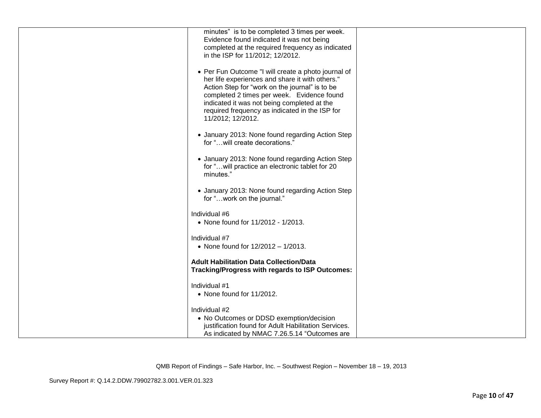| minutes" is to be completed 3 times per week.                                                          |  |
|--------------------------------------------------------------------------------------------------------|--|
| Evidence found indicated it was not being                                                              |  |
| completed at the required frequency as indicated                                                       |  |
| in the ISP for 11/2012; 12/2012.                                                                       |  |
|                                                                                                        |  |
|                                                                                                        |  |
| • Per Fun Outcome "I will create a photo journal of<br>her life experiences and share it with others." |  |
| Action Step for "work on the journal" is to be                                                         |  |
| completed 2 times per week. Evidence found                                                             |  |
| indicated it was not being completed at the                                                            |  |
| required frequency as indicated in the ISP for                                                         |  |
| 11/2012; 12/2012.                                                                                      |  |
|                                                                                                        |  |
| • January 2013: None found regarding Action Step                                                       |  |
| for " will create decorations."                                                                        |  |
|                                                                                                        |  |
| • January 2013: None found regarding Action Step                                                       |  |
| for " will practice an electronic tablet for 20                                                        |  |
| minutes."                                                                                              |  |
|                                                                                                        |  |
| • January 2013: None found regarding Action Step                                                       |  |
| for "work on the journal."                                                                             |  |
|                                                                                                        |  |
| Individual #6                                                                                          |  |
| • None found for 11/2012 - 1/2013.                                                                     |  |
|                                                                                                        |  |
| Individual #7                                                                                          |  |
| • None found for 12/2012 - 1/2013.                                                                     |  |
|                                                                                                        |  |
| <b>Adult Habilitation Data Collection/Data</b>                                                         |  |
| Tracking/Progress with regards to ISP Outcomes:                                                        |  |
|                                                                                                        |  |
| Individual #1                                                                                          |  |
| • None found for 11/2012.                                                                              |  |
|                                                                                                        |  |
| Individual #2                                                                                          |  |
| • No Outcomes or DDSD exemption/decision                                                               |  |
| justification found for Adult Habilitation Services.                                                   |  |
| As indicated by NMAC 7.26.5.14 "Outcomes are                                                           |  |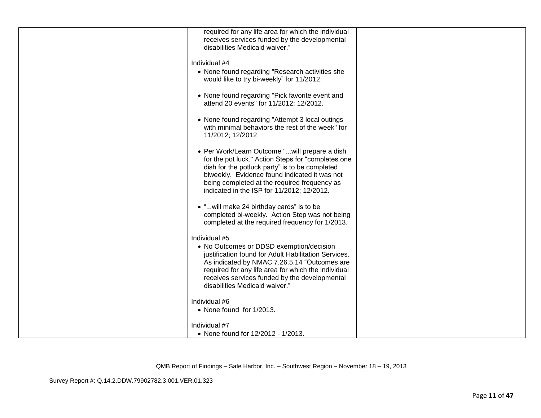| required for any life area for which the individual<br>receives services funded by the developmental<br>disabilities Medicaid waiver."                                                                                                                                                                      |  |
|-------------------------------------------------------------------------------------------------------------------------------------------------------------------------------------------------------------------------------------------------------------------------------------------------------------|--|
| Individual #4<br>• None found regarding "Research activities she<br>would like to try bi-weekly" for 11/2012.                                                                                                                                                                                               |  |
| • None found regarding "Pick favorite event and<br>attend 20 events" for 11/2012; 12/2012.                                                                                                                                                                                                                  |  |
| • None found regarding "Attempt 3 local outings<br>with minimal behaviors the rest of the week" for<br>11/2012; 12/2012                                                                                                                                                                                     |  |
| • Per Work/Learn Outcome "will prepare a dish<br>for the pot luck." Action Steps for "completes one<br>dish for the potluck party" is to be completed<br>biweekly. Evidence found indicated it was not<br>being completed at the required frequency as<br>indicated in the ISP for 11/2012; 12/2012.        |  |
| • " will make 24 birthday cards" is to be<br>completed bi-weekly. Action Step was not being<br>completed at the required frequency for 1/2013.                                                                                                                                                              |  |
| Individual #5<br>• No Outcomes or DDSD exemption/decision<br>justification found for Adult Habilitation Services.<br>As indicated by NMAC 7.26.5.14 "Outcomes are<br>required for any life area for which the individual<br>receives services funded by the developmental<br>disabilities Medicaid waiver." |  |
| Individual #6<br>• None found for 1/2013.                                                                                                                                                                                                                                                                   |  |
| Individual #7<br>• None found for 12/2012 - 1/2013.                                                                                                                                                                                                                                                         |  |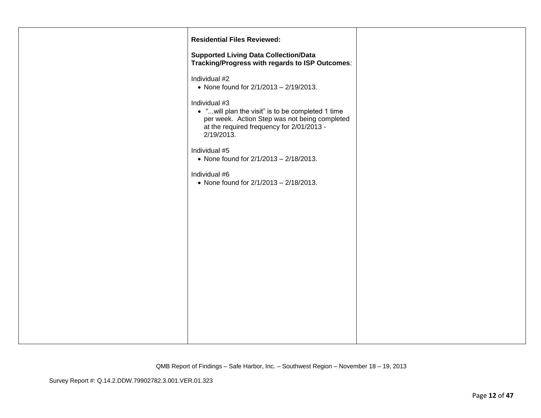| <b>Residential Files Reviewed:</b>                                                                                                                                             |  |
|--------------------------------------------------------------------------------------------------------------------------------------------------------------------------------|--|
| <b>Supported Living Data Collection/Data</b><br>Tracking/Progress with regards to ISP Outcomes:                                                                                |  |
| Individual #2<br>• None found for $2/1/2013 - 2/19/2013$ .                                                                                                                     |  |
| Individual #3<br>• "will plan the visit" is to be completed 1 time<br>per week. Action Step was not being completed<br>at the required frequency for 2/01/2013 -<br>2/19/2013. |  |
| Individual #5<br>• None found for 2/1/2013 - 2/18/2013.                                                                                                                        |  |
| Individual #6<br>• None found for 2/1/2013 - 2/18/2013.                                                                                                                        |  |
|                                                                                                                                                                                |  |
|                                                                                                                                                                                |  |
|                                                                                                                                                                                |  |
|                                                                                                                                                                                |  |
|                                                                                                                                                                                |  |
|                                                                                                                                                                                |  |
|                                                                                                                                                                                |  |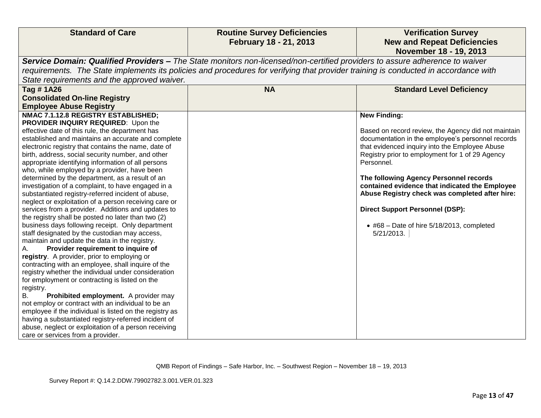| <b>Standard of Care</b>                                                                                                     | <b>Routine Survey Deficiencies</b>                                                                                                  | <b>Verification Survey</b>                          |  |  |
|-----------------------------------------------------------------------------------------------------------------------------|-------------------------------------------------------------------------------------------------------------------------------------|-----------------------------------------------------|--|--|
|                                                                                                                             | February 18 - 21, 2013                                                                                                              | <b>New and Repeat Deficiencies</b>                  |  |  |
|                                                                                                                             |                                                                                                                                     | November 18 - 19, 2013                              |  |  |
| Service Domain: Qualified Providers – The State monitors non-licensed/non-certified providers to assure adherence to waiver |                                                                                                                                     |                                                     |  |  |
|                                                                                                                             | requirements. The State implements its policies and procedures for verifying that provider training is conducted in accordance with |                                                     |  |  |
| State requirements and the approved waiver.                                                                                 |                                                                                                                                     |                                                     |  |  |
| Tag #1A26                                                                                                                   | <b>NA</b>                                                                                                                           | <b>Standard Level Deficiency</b>                    |  |  |
| <b>Consolidated On-line Registry</b>                                                                                        |                                                                                                                                     |                                                     |  |  |
| <b>Employee Abuse Registry</b>                                                                                              |                                                                                                                                     |                                                     |  |  |
| NMAC 7.1.12.8 REGISTRY ESTABLISHED;                                                                                         |                                                                                                                                     | <b>New Finding:</b>                                 |  |  |
| PROVIDER INQUIRY REQUIRED: Upon the                                                                                         |                                                                                                                                     |                                                     |  |  |
| effective date of this rule, the department has                                                                             |                                                                                                                                     | Based on record review, the Agency did not maintain |  |  |
| established and maintains an accurate and complete                                                                          |                                                                                                                                     | documentation in the employee's personnel records   |  |  |
| electronic registry that contains the name, date of                                                                         |                                                                                                                                     | that evidenced inquiry into the Employee Abuse      |  |  |
| birth, address, social security number, and other                                                                           |                                                                                                                                     | Registry prior to employment for 1 of 29 Agency     |  |  |
| appropriate identifying information of all persons                                                                          |                                                                                                                                     | Personnel.                                          |  |  |
| who, while employed by a provider, have been                                                                                |                                                                                                                                     | The following Agency Personnel records              |  |  |
| determined by the department, as a result of an<br>investigation of a complaint, to have engaged in a                       |                                                                                                                                     | contained evidence that indicated the Employee      |  |  |
| substantiated registry-referred incident of abuse,                                                                          |                                                                                                                                     | Abuse Registry check was completed after hire:      |  |  |
| neglect or exploitation of a person receiving care or                                                                       |                                                                                                                                     |                                                     |  |  |
| services from a provider. Additions and updates to                                                                          |                                                                                                                                     | <b>Direct Support Personnel (DSP):</b>              |  |  |
| the registry shall be posted no later than two (2)                                                                          |                                                                                                                                     |                                                     |  |  |
| business days following receipt. Only department                                                                            |                                                                                                                                     | $\bullet$ #68 - Date of hire 5/18/2013, completed   |  |  |
| staff designated by the custodian may access,                                                                               |                                                                                                                                     | 5/21/2013.                                          |  |  |
| maintain and update the data in the registry.                                                                               |                                                                                                                                     |                                                     |  |  |
| Provider requirement to inquire of<br>А.                                                                                    |                                                                                                                                     |                                                     |  |  |
| registry. A provider, prior to employing or                                                                                 |                                                                                                                                     |                                                     |  |  |
| contracting with an employee, shall inquire of the                                                                          |                                                                                                                                     |                                                     |  |  |
| registry whether the individual under consideration                                                                         |                                                                                                                                     |                                                     |  |  |
| for employment or contracting is listed on the<br>registry.                                                                 |                                                                                                                                     |                                                     |  |  |
| Prohibited employment. A provider may<br>В.                                                                                 |                                                                                                                                     |                                                     |  |  |
| not employ or contract with an individual to be an                                                                          |                                                                                                                                     |                                                     |  |  |
| employee if the individual is listed on the registry as                                                                     |                                                                                                                                     |                                                     |  |  |
| having a substantiated registry-referred incident of                                                                        |                                                                                                                                     |                                                     |  |  |
| abuse, neglect or exploitation of a person receiving                                                                        |                                                                                                                                     |                                                     |  |  |
| care or services from a provider.                                                                                           |                                                                                                                                     |                                                     |  |  |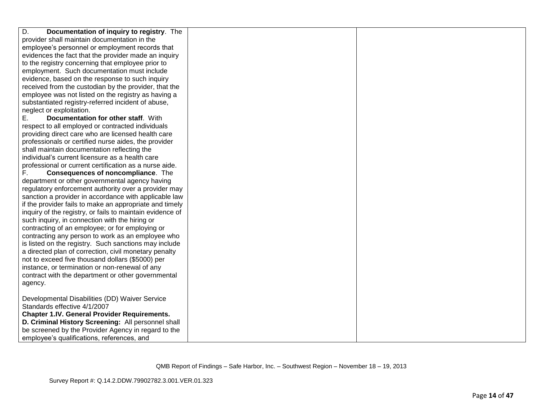| D.<br>Documentation of inquiry to registry. The           |  |
|-----------------------------------------------------------|--|
| provider shall maintain documentation in the              |  |
| employee's personnel or employment records that           |  |
| evidences the fact that the provider made an inquiry      |  |
| to the registry concerning that employee prior to         |  |
| employment. Such documentation must include               |  |
| evidence, based on the response to such inquiry           |  |
| received from the custodian by the provider, that the     |  |
| employee was not listed on the registry as having a       |  |
| substantiated registry-referred incident of abuse,        |  |
| neglect or exploitation.                                  |  |
| Е.<br>Documentation for other staff. With                 |  |
| respect to all employed or contracted individuals         |  |
| providing direct care who are licensed health care        |  |
| professionals or certified nurse aides, the provider      |  |
| shall maintain documentation reflecting the               |  |
| individual's current licensure as a health care           |  |
| professional or current certification as a nurse aide.    |  |
| F.<br>Consequences of noncompliance. The                  |  |
| department or other governmental agency having            |  |
| regulatory enforcement authority over a provider may      |  |
| sanction a provider in accordance with applicable law     |  |
| if the provider fails to make an appropriate and timely   |  |
| inquiry of the registry, or fails to maintain evidence of |  |
| such inquiry, in connection with the hiring or            |  |
| contracting of an employee; or for employing or           |  |
| contracting any person to work as an employee who         |  |
| is listed on the registry. Such sanctions may include     |  |
| a directed plan of correction, civil monetary penalty     |  |
| not to exceed five thousand dollars (\$5000) per          |  |
| instance, or termination or non-renewal of any            |  |
| contract with the department or other governmental        |  |
| agency.                                                   |  |
|                                                           |  |
| Developmental Disabilities (DD) Waiver Service            |  |
| Standards effective 4/1/2007                              |  |
| <b>Chapter 1.IV. General Provider Requirements.</b>       |  |
| D. Criminal History Screening: All personnel shall        |  |
| be screened by the Provider Agency in regard to the       |  |
| employee's qualifications, references, and                |  |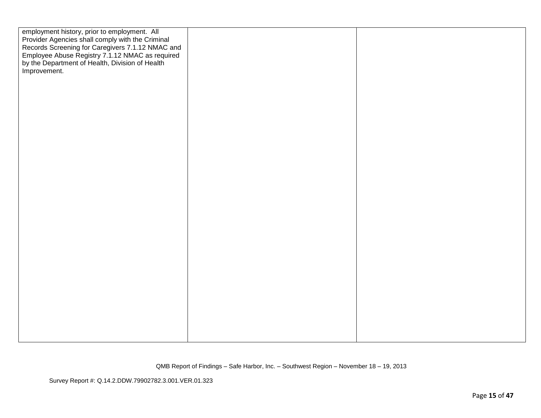| employment history, prior to employment. All<br>Provider Agencies shall comply with the Criminal<br>Records Screening for Caregivers 7.1.12 NMAC and<br>Employee Abuse Registry 7.1.12 NMAC as required<br>by the Department of Health, Division of Health<br>Improvement. |  |
|----------------------------------------------------------------------------------------------------------------------------------------------------------------------------------------------------------------------------------------------------------------------------|--|
|                                                                                                                                                                                                                                                                            |  |
|                                                                                                                                                                                                                                                                            |  |
|                                                                                                                                                                                                                                                                            |  |
|                                                                                                                                                                                                                                                                            |  |
|                                                                                                                                                                                                                                                                            |  |

Survey Report #: Q.14.2.DDW.79902782.3.001.VER.01.323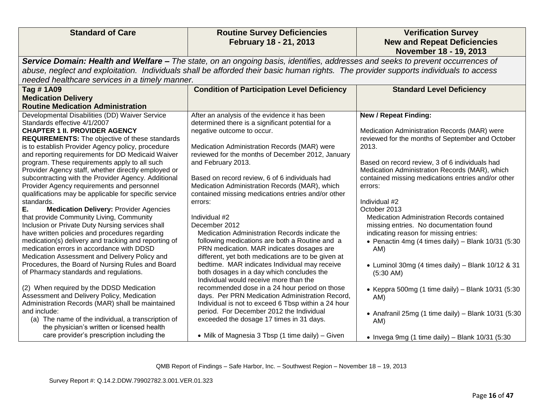| <b>Standard of Care</b>                                                                                                                                                                                                                                                                                                                                                                                                                                                                                                                                                                                                                                                                                                                                                                                                                                                                                                                                                                                                                                                                                                                                                                                                                                                                                      | <b>Routine Survey Deficiencies</b><br>February 18 - 21, 2013                                                                                                                                                                                                                                                                                                                                                                                                                                                                                                                                                                                                                                                                                                                                                                                                                                                                                                                                                                                                         | <b>Verification Survey</b><br><b>New and Repeat Deficiencies</b>                                                                                                                                                                                                                                                                                                                                                                                                                                                                                                                                                                                                                                                                                     |  |
|--------------------------------------------------------------------------------------------------------------------------------------------------------------------------------------------------------------------------------------------------------------------------------------------------------------------------------------------------------------------------------------------------------------------------------------------------------------------------------------------------------------------------------------------------------------------------------------------------------------------------------------------------------------------------------------------------------------------------------------------------------------------------------------------------------------------------------------------------------------------------------------------------------------------------------------------------------------------------------------------------------------------------------------------------------------------------------------------------------------------------------------------------------------------------------------------------------------------------------------------------------------------------------------------------------------|----------------------------------------------------------------------------------------------------------------------------------------------------------------------------------------------------------------------------------------------------------------------------------------------------------------------------------------------------------------------------------------------------------------------------------------------------------------------------------------------------------------------------------------------------------------------------------------------------------------------------------------------------------------------------------------------------------------------------------------------------------------------------------------------------------------------------------------------------------------------------------------------------------------------------------------------------------------------------------------------------------------------------------------------------------------------|------------------------------------------------------------------------------------------------------------------------------------------------------------------------------------------------------------------------------------------------------------------------------------------------------------------------------------------------------------------------------------------------------------------------------------------------------------------------------------------------------------------------------------------------------------------------------------------------------------------------------------------------------------------------------------------------------------------------------------------------------|--|
| November 18 - 19, 2013<br>Service Domain: Health and Welfare - The state, on an ongoing basis, identifies, addresses and seeks to prevent occurrences of<br>abuse, neglect and exploitation. Individuals shall be afforded their basic human rights. The provider supports individuals to access<br>needed healthcare services in a timely manner.                                                                                                                                                                                                                                                                                                                                                                                                                                                                                                                                                                                                                                                                                                                                                                                                                                                                                                                                                           |                                                                                                                                                                                                                                                                                                                                                                                                                                                                                                                                                                                                                                                                                                                                                                                                                                                                                                                                                                                                                                                                      |                                                                                                                                                                                                                                                                                                                                                                                                                                                                                                                                                                                                                                                                                                                                                      |  |
| Tag #1A09                                                                                                                                                                                                                                                                                                                                                                                                                                                                                                                                                                                                                                                                                                                                                                                                                                                                                                                                                                                                                                                                                                                                                                                                                                                                                                    | <b>Condition of Participation Level Deficiency</b>                                                                                                                                                                                                                                                                                                                                                                                                                                                                                                                                                                                                                                                                                                                                                                                                                                                                                                                                                                                                                   | <b>Standard Level Deficiency</b>                                                                                                                                                                                                                                                                                                                                                                                                                                                                                                                                                                                                                                                                                                                     |  |
| <b>Medication Delivery</b><br><b>Routine Medication Administration</b>                                                                                                                                                                                                                                                                                                                                                                                                                                                                                                                                                                                                                                                                                                                                                                                                                                                                                                                                                                                                                                                                                                                                                                                                                                       |                                                                                                                                                                                                                                                                                                                                                                                                                                                                                                                                                                                                                                                                                                                                                                                                                                                                                                                                                                                                                                                                      |                                                                                                                                                                                                                                                                                                                                                                                                                                                                                                                                                                                                                                                                                                                                                      |  |
| Developmental Disabilities (DD) Waiver Service<br>Standards effective 4/1/2007<br><b>CHAPTER 1 II. PROVIDER AGENCY</b><br><b>REQUIREMENTS:</b> The objective of these standards<br>is to establish Provider Agency policy, procedure<br>and reporting requirements for DD Medicaid Waiver<br>program. These requirements apply to all such<br>Provider Agency staff, whether directly employed or<br>subcontracting with the Provider Agency. Additional<br>Provider Agency requirements and personnel<br>qualifications may be applicable for specific service<br>standards.<br>Ε.<br><b>Medication Delivery: Provider Agencies</b><br>that provide Community Living, Community<br>Inclusion or Private Duty Nursing services shall<br>have written policies and procedures regarding<br>medication(s) delivery and tracking and reporting of<br>medication errors in accordance with DDSD<br>Medication Assessment and Delivery Policy and<br>Procedures, the Board of Nursing Rules and Board<br>of Pharmacy standards and regulations.<br>(2) When required by the DDSD Medication<br>Assessment and Delivery Policy, Medication<br>Administration Records (MAR) shall be maintained<br>and include:<br>(a) The name of the individual, a transcription of<br>the physician's written or licensed health | After an analysis of the evidence it has been<br>determined there is a significant potential for a<br>negative outcome to occur.<br>Medication Administration Records (MAR) were<br>reviewed for the months of December 2012, January<br>and February 2013.<br>Based on record review, 6 of 6 individuals had<br>Medication Administration Records (MAR), which<br>contained missing medications entries and/or other<br>errors:<br>Individual #2<br>December 2012<br>Medication Administration Records indicate the<br>following medications are both a Routine and a<br>PRN medication. MAR indicates dosages are<br>different, yet both medications are to be given at<br>bedtime. MAR indicates Individual may receive<br>both dosages in a day which concludes the<br>Individual would receive more than the<br>recommended dose in a 24 hour period on those<br>days. Per PRN Medication Administration Record,<br>Individual is not to exceed 6 Tbsp within a 24 hour<br>period. For December 2012 the Individual<br>exceeded the dosage 17 times in 31 days. | <b>New / Repeat Finding:</b><br>Medication Administration Records (MAR) were<br>reviewed for the months of September and October<br>2013.<br>Based on record review, 3 of 6 individuals had<br>Medication Administration Records (MAR), which<br>contained missing medications entries and/or other<br>errors:<br>Individual #2<br>October 2013<br>Medication Administration Records contained<br>missing entries. No documentation found<br>indicating reason for missing entries:<br>• Penactin 4mg (4 times daily) – Blank $10/31$ (5:30<br>AM)<br>• Luminol 30mg (4 times daily) - Blank 10/12 & 31<br>$(5:30$ AM)<br>• Keppra 500mg (1 time daily) - Blank $10/31$ (5:30<br>AM)<br>• Anafranil 25mg (1 time daily) - Blank $10/31$ (5:30<br>AM) |  |
| care provider's prescription including the                                                                                                                                                                                                                                                                                                                                                                                                                                                                                                                                                                                                                                                                                                                                                                                                                                                                                                                                                                                                                                                                                                                                                                                                                                                                   | • Milk of Magnesia 3 Tbsp (1 time daily) - Given                                                                                                                                                                                                                                                                                                                                                                                                                                                                                                                                                                                                                                                                                                                                                                                                                                                                                                                                                                                                                     | • Invega 9mg (1 time daily) – Blank $10/31$ (5:30                                                                                                                                                                                                                                                                                                                                                                                                                                                                                                                                                                                                                                                                                                    |  |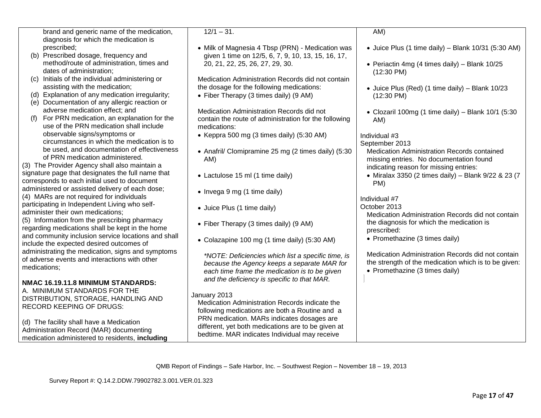|     | brand and generic name of the medication,           | $12/1 - 31$ .                                         | AM)                                                   |
|-----|-----------------------------------------------------|-------------------------------------------------------|-------------------------------------------------------|
|     | diagnosis for which the medication is               |                                                       |                                                       |
|     | prescribed:                                         | • Milk of Magnesia 4 Tbsp (PRN) - Medication was      | • Juice Plus (1 time daily) – Blank $10/31$ (5:30 AM) |
|     | (b) Prescribed dosage, frequency and                | given 1 time on 12/5, 6, 7, 9, 10, 13, 15, 16, 17,    |                                                       |
|     | method/route of administration, times and           | 20, 21, 22, 25, 26, 27, 29, 30.                       | • Periactin 4mg (4 times daily) - Blank 10/25         |
|     | dates of administration;                            |                                                       | $(12:30 \text{ PM})$                                  |
|     | (c) Initials of the individual administering or     | Medication Administration Records did not contain     |                                                       |
|     | assisting with the medication;                      | the dosage for the following medications:             | • Juice Plus (Red) (1 time daily) - Blank 10/23       |
|     | Explanation of any medication irregularity;         | • Fiber Therapy (3 times daily) (9 AM)                | $(12:30 \text{ PM})$                                  |
|     | (e) Documentation of any allergic reaction or       |                                                       |                                                       |
|     | adverse medication effect; and                      | Medication Administration Records did not             |                                                       |
| (f) | For PRN medication, an explanation for the          |                                                       | • Clozaril 100mg (1 time daily) - Blank 10/1 (5:30    |
|     | use of the PRN medication shall include             | contain the route of administration for the following | AM)                                                   |
|     |                                                     | medications:                                          |                                                       |
|     | observable signs/symptoms or                        | • Keppra 500 mg (3 times daily) (5:30 AM)             | Individual #3                                         |
|     | circumstances in which the medication is to         |                                                       | September 2013                                        |
|     | be used, and documentation of effectiveness         | • Anafril/ Clomipramine 25 mg (2 times daily) (5:30   | Medication Administration Records contained           |
|     | of PRN medication administered.                     | AM)                                                   | missing entries. No documentation found               |
|     | (3) The Provider Agency shall also maintain a       |                                                       | indicating reason for missing entries:                |
|     | signature page that designates the full name that   | • Lactulose 15 ml (1 time daily)                      | • Miralax 3350 (2 times daily) - Blank 9/22 & 23 (7   |
|     | corresponds to each initial used to document        |                                                       | PM)                                                   |
|     | administered or assisted delivery of each dose;     | • Invega 9 mg (1 time daily)                          |                                                       |
|     | (4) MARs are not required for individuals           |                                                       | Individual #7                                         |
|     | participating in Independent Living who self-       |                                                       | October 2013                                          |
|     | administer their own medications:                   | • Juice Plus (1 time daily)                           | Medication Administration Records did not contain     |
|     | (5) Information from the prescribing pharmacy       |                                                       |                                                       |
|     | regarding medications shall be kept in the home     | • Fiber Therapy (3 times daily) (9 AM)                | the diagnosis for which the medication is             |
|     | and community inclusion service locations and shall |                                                       | prescribed:                                           |
|     | include the expected desired outcomes of            | • Colazapine 100 mg (1 time daily) (5:30 AM)          | • Promethazine (3 times daily)                        |
|     | administrating the medication, signs and symptoms   |                                                       |                                                       |
|     | of adverse events and interactions with other       | *NOTE: Deficiencies which list a specific time, is    | Medication Administration Records did not contain     |
|     |                                                     | because the Agency keeps a separate MAR for           | the strength of the medication which is to be given:  |
|     | medications;                                        | each time frame the medication is to be given         | • Promethazine (3 times daily)                        |
|     |                                                     | and the deficiency is specific to that MAR.           |                                                       |
|     | NMAC 16.19.11.8 MINIMUM STANDARDS:                  |                                                       |                                                       |
|     | A. MINIMUM STANDARDS FOR THE                        | January 2013                                          |                                                       |
|     | DISTRIBUTION, STORAGE, HANDLING AND                 | Medication Administration Records indicate the        |                                                       |
|     | <b>RECORD KEEPING OF DRUGS:</b>                     | following medications are both a Routine and a        |                                                       |
|     |                                                     | PRN medication. MARs indicates dosages are            |                                                       |
|     | (d) The facility shall have a Medication            | different, yet both medications are to be given at    |                                                       |
|     | Administration Record (MAR) documenting             | bedtime. MAR indicates Individual may receive         |                                                       |
|     | medication administered to residents, including     |                                                       |                                                       |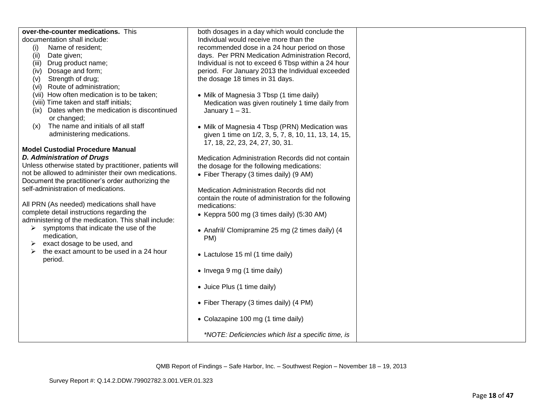| over-the-counter medications. This                               | both dosages in a day which would conclude the        |  |
|------------------------------------------------------------------|-------------------------------------------------------|--|
| documentation shall include:                                     | Individual would receive more than the                |  |
| (i)<br>Name of resident;                                         | recommended dose in a 24 hour period on those         |  |
| (ii)<br>Date given;                                              | days. Per PRN Medication Administration Record,       |  |
| Drug product name;<br>(iii)                                      | Individual is not to exceed 6 Tbsp within a 24 hour   |  |
| Dosage and form;<br>(iv)                                         | period. For January 2013 the Individual exceeded      |  |
| Strength of drug;<br>(V)                                         | the dosage 18 times in 31 days.                       |  |
| Route of administration;<br>(vi)                                 |                                                       |  |
| (vii) How often medication is to be taken;                       | • Milk of Magnesia 3 Tbsp (1 time daily)              |  |
| (viii) Time taken and staff initials;                            | Medication was given routinely 1 time daily from      |  |
| Dates when the medication is discontinued<br>(ix)<br>or changed; | January $1 - 31$ .                                    |  |
| The name and initials of all staff<br>(x)                        | • Milk of Magnesia 4 Tbsp (PRN) Medication was        |  |
| administering medications.                                       | given 1 time on 1/2, 3, 5, 7, 8, 10, 11, 13, 14, 15,  |  |
|                                                                  | 17, 18, 22, 23, 24, 27, 30, 31.                       |  |
| <b>Model Custodial Procedure Manual</b>                          |                                                       |  |
| <b>D. Administration of Drugs</b>                                | Medication Administration Records did not contain     |  |
| Unless otherwise stated by practitioner, patients will           | the dosage for the following medications:             |  |
| not be allowed to administer their own medications.              | • Fiber Therapy (3 times daily) (9 AM)                |  |
| Document the practitioner's order authorizing the                |                                                       |  |
| self-administration of medications.                              | Medication Administration Records did not             |  |
|                                                                  | contain the route of administration for the following |  |
| All PRN (As needed) medications shall have                       | medications:                                          |  |
| complete detail instructions regarding the                       | • Keppra 500 mg (3 times daily) (5:30 AM)             |  |
| administering of the medication. This shall include:             |                                                       |  |
| symptoms that indicate the use of the<br>➤                       | • Anafril/ Clomipramine 25 mg (2 times daily) (4      |  |
| medication,                                                      | PM)                                                   |  |
| exact dosage to be used, and<br>➤                                |                                                       |  |
| the exact amount to be used in a 24 hour                         | • Lactulose 15 ml (1 time daily)                      |  |
| period.                                                          |                                                       |  |
|                                                                  | • Invega 9 mg (1 time daily)                          |  |
|                                                                  | • Juice Plus (1 time daily)                           |  |
|                                                                  |                                                       |  |
|                                                                  | • Fiber Therapy (3 times daily) (4 PM)                |  |
|                                                                  | • Colazapine 100 mg (1 time daily)                    |  |
|                                                                  | *NOTE: Deficiencies which list a specific time, is    |  |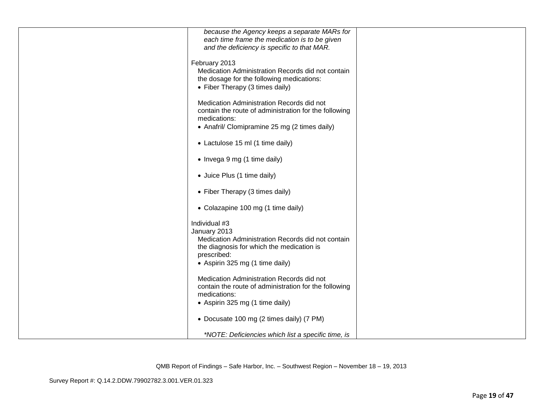| because the Agency keeps a separate MARs for<br>each time frame the medication is to be given<br>and the deficiency is specific to that MAR.                                      |  |
|-----------------------------------------------------------------------------------------------------------------------------------------------------------------------------------|--|
| February 2013<br>Medication Administration Records did not contain<br>the dosage for the following medications:<br>• Fiber Therapy (3 times daily)                                |  |
| Medication Administration Records did not<br>contain the route of administration for the following<br>medications:<br>• Anafril/ Clomipramine 25 mg (2 times daily)               |  |
| • Lactulose 15 ml (1 time daily)                                                                                                                                                  |  |
| • Invega 9 mg (1 time daily)                                                                                                                                                      |  |
| • Juice Plus (1 time daily)                                                                                                                                                       |  |
| • Fiber Therapy (3 times daily)                                                                                                                                                   |  |
| • Colazapine 100 mg (1 time daily)                                                                                                                                                |  |
| Individual #3<br>January 2013<br>Medication Administration Records did not contain<br>the diagnosis for which the medication is<br>prescribed:<br>• Aspirin 325 mg (1 time daily) |  |
| Medication Administration Records did not<br>contain the route of administration for the following<br>medications:<br>• Aspirin 325 mg (1 time daily)                             |  |
| • Docusate 100 mg (2 times daily) (7 PM)                                                                                                                                          |  |
| *NOTE: Deficiencies which list a specific time, is                                                                                                                                |  |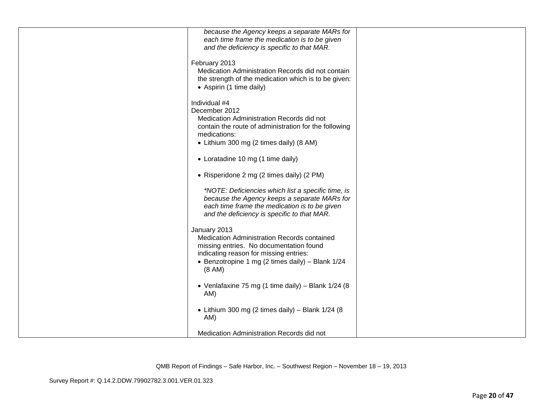| because the Agency keeps a separate MARs for                                      |  |
|-----------------------------------------------------------------------------------|--|
| each time frame the medication is to be given                                     |  |
| and the deficiency is specific to that MAR.                                       |  |
| February 2013                                                                     |  |
| Medication Administration Records did not contain                                 |  |
| the strength of the medication which is to be given:                              |  |
| • Aspirin (1 time daily)                                                          |  |
| Individual #4                                                                     |  |
| December 2012                                                                     |  |
| Medication Administration Records did not                                         |  |
| contain the route of administration for the following<br>medications:             |  |
| • Lithium 300 mg (2 times daily) (8 AM)                                           |  |
|                                                                                   |  |
| • Loratadine 10 mg (1 time daily)                                                 |  |
| • Risperidone 2 mg (2 times daily) (2 PM)                                         |  |
| *NOTE: Deficiencies which list a specific time, is                                |  |
| because the Agency keeps a separate MARs for                                      |  |
| each time frame the medication is to be given                                     |  |
| and the deficiency is specific to that MAR.                                       |  |
| January 2013                                                                      |  |
| Medication Administration Records contained                                       |  |
| missing entries. No documentation found<br>indicating reason for missing entries: |  |
| • Benzotropine 1 mg (2 times daily) - Blank 1/24                                  |  |
| (8 AM)                                                                            |  |
| • Venlafaxine 75 mg (1 time daily) - Blank 1/24 (8                                |  |
| AM)                                                                               |  |
| • Lithium 300 mg (2 times daily) - Blank $1/24$ (8                                |  |
| AM)                                                                               |  |
| Medication Administration Records did not                                         |  |
|                                                                                   |  |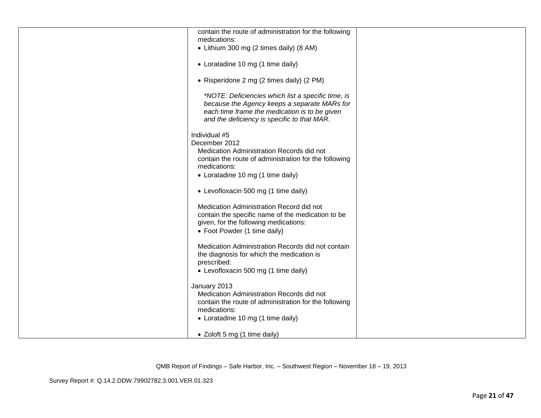| contain the route of administration for the following<br>medications:                                                                                                                              |  |
|----------------------------------------------------------------------------------------------------------------------------------------------------------------------------------------------------|--|
| • Lithium 300 mg (2 times daily) (8 AM)                                                                                                                                                            |  |
| • Loratadine 10 mg (1 time daily)                                                                                                                                                                  |  |
| • Risperidone 2 mg (2 times daily) (2 PM)                                                                                                                                                          |  |
| *NOTE: Deficiencies which list a specific time, is<br>because the Agency keeps a separate MARs for<br>each time frame the medication is to be given<br>and the deficiency is specific to that MAR. |  |
| Individual #5<br>December 2012<br>Medication Administration Records did not<br>contain the route of administration for the following<br>medications:<br>• Loratadine 10 mg (1 time daily)          |  |
| • Levofloxacin 500 mg (1 time daily)                                                                                                                                                               |  |
| Medication Administration Record did not<br>contain the specific name of the medication to be<br>given, for the following medications:<br>• Foot Powder (1 time daily)                             |  |
| Medication Administration Records did not contain<br>the diagnosis for which the medication is<br>prescribed:<br>• Levofloxacin 500 mg (1 time daily)                                              |  |
| January 2013<br>Medication Administration Records did not<br>contain the route of administration for the following<br>medications:<br>• Loratadine 10 mg (1 time daily)                            |  |
| • Zoloft 5 mg (1 time daily)                                                                                                                                                                       |  |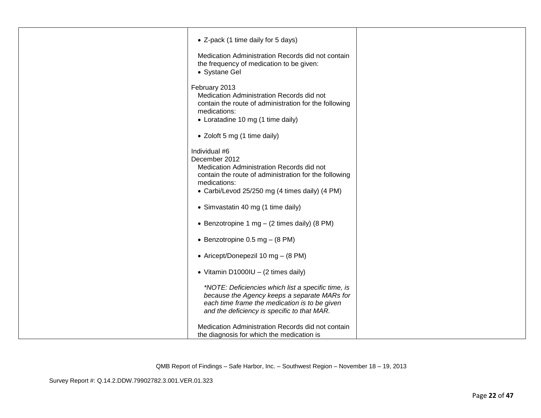| • Z-pack (1 time daily for 5 days)<br>Medication Administration Records did not contain<br>the frequency of medication to be given:<br>• Systane Gel                                                   |  |
|--------------------------------------------------------------------------------------------------------------------------------------------------------------------------------------------------------|--|
| February 2013<br>Medication Administration Records did not<br>contain the route of administration for the following<br>medications:<br>• Loratadine 10 mg (1 time daily)                               |  |
| • Zoloft 5 mg (1 time daily)                                                                                                                                                                           |  |
| Individual #6<br>December 2012<br>Medication Administration Records did not<br>contain the route of administration for the following<br>medications:<br>• Carbi/Levod 25/250 mg (4 times daily) (4 PM) |  |
| • Simvastatin 40 mg (1 time daily)                                                                                                                                                                     |  |
| • Benzotropine 1 mg - (2 times daily) (8 PM)                                                                                                                                                           |  |
| • Benzotropine 0.5 mg $-$ (8 PM)                                                                                                                                                                       |  |
| • Aricept/Donepezil 10 mg - (8 PM)                                                                                                                                                                     |  |
| • Vitamin D1000IU - $(2 \text{ times daily})$                                                                                                                                                          |  |
| *NOTE: Deficiencies which list a specific time, is<br>because the Agency keeps a separate MARs for<br>each time frame the medication is to be given<br>and the deficiency is specific to that MAR.     |  |
| Medication Administration Records did not contain<br>the diagnosis for which the medication is                                                                                                         |  |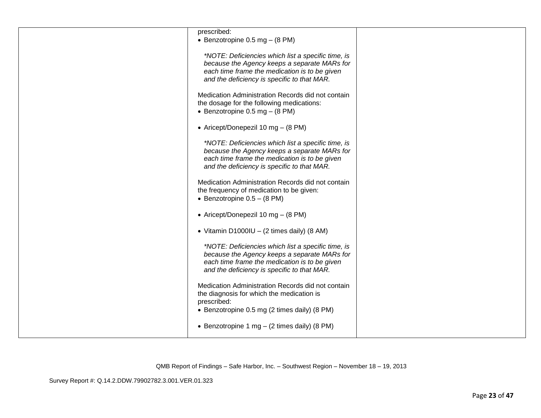| prescribed:                                          |  |
|------------------------------------------------------|--|
| • Benzotropine 0.5 mg $-$ (8 PM)                     |  |
|                                                      |  |
| *NOTE: Deficiencies which list a specific time, is   |  |
| because the Agency keeps a separate MARs for         |  |
| each time frame the medication is to be given        |  |
| and the deficiency is specific to that MAR.          |  |
|                                                      |  |
|                                                      |  |
| Medication Administration Records did not contain    |  |
| the dosage for the following medications:            |  |
| • Benzotropine 0.5 mg $-$ (8 PM)                     |  |
|                                                      |  |
| • Aricept/Donepezil 10 mg - (8 PM)                   |  |
|                                                      |  |
| *NOTE: Deficiencies which list a specific time, is   |  |
| because the Agency keeps a separate MARs for         |  |
|                                                      |  |
| each time frame the medication is to be given        |  |
| and the deficiency is specific to that MAR.          |  |
|                                                      |  |
| Medication Administration Records did not contain    |  |
| the frequency of medication to be given:             |  |
| • Benzotropine $0.5 - (8 \text{ PM})$                |  |
|                                                      |  |
| • Aricept/Donepezil 10 mg - (8 PM)                   |  |
|                                                      |  |
| • Vitamin D1000IU - $(2 \text{ times daily})$ (8 AM) |  |
|                                                      |  |
|                                                      |  |
| *NOTE: Deficiencies which list a specific time, is   |  |
| because the Agency keeps a separate MARs for         |  |
| each time frame the medication is to be given        |  |
| and the deficiency is specific to that MAR.          |  |
|                                                      |  |
| Medication Administration Records did not contain    |  |
| the diagnosis for which the medication is            |  |
| prescribed:                                          |  |
|                                                      |  |
| • Benzotropine 0.5 mg (2 times daily) (8 PM)         |  |
|                                                      |  |
| • Benzotropine 1 mg $-$ (2 times daily) (8 PM)       |  |
|                                                      |  |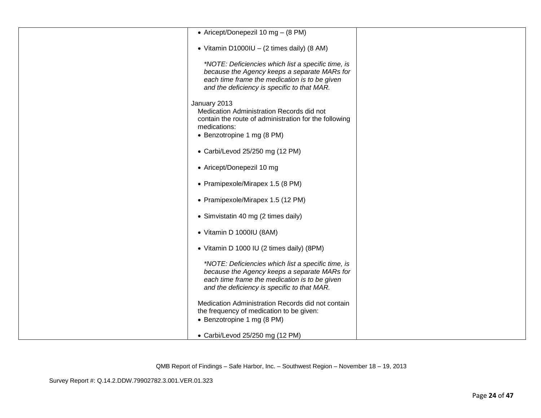| • Aricept/Donepezil 10 mg - (8 PM)                                                                                                                                                                 |  |
|----------------------------------------------------------------------------------------------------------------------------------------------------------------------------------------------------|--|
| • Vitamin D1000IU - $(2 \text{ times daily})$ (8 AM)                                                                                                                                               |  |
| *NOTE: Deficiencies which list a specific time, is<br>because the Agency keeps a separate MARs for<br>each time frame the medication is to be given<br>and the deficiency is specific to that MAR. |  |
| January 2013<br>Medication Administration Records did not<br>contain the route of administration for the following<br>medications:<br>• Benzotropine 1 mg (8 PM)                                   |  |
| • Carbi/Levod 25/250 mg (12 PM)                                                                                                                                                                    |  |
| • Aricept/Donepezil 10 mg                                                                                                                                                                          |  |
| • Pramipexole/Mirapex 1.5 (8 PM)                                                                                                                                                                   |  |
| • Pramipexole/Mirapex 1.5 (12 PM)                                                                                                                                                                  |  |
| • Simvistatin 40 mg (2 times daily)                                                                                                                                                                |  |
| • Vitamin D 1000IU (8AM)                                                                                                                                                                           |  |
| • Vitamin D 1000 IU (2 times daily) (8PM)                                                                                                                                                          |  |
| *NOTE: Deficiencies which list a specific time, is<br>because the Agency keeps a separate MARs for<br>each time frame the medication is to be given<br>and the deficiency is specific to that MAR. |  |
| Medication Administration Records did not contain<br>the frequency of medication to be given:<br>• Benzotropine 1 mg (8 PM)                                                                        |  |
| • Carbi/Levod 25/250 mg (12 PM)                                                                                                                                                                    |  |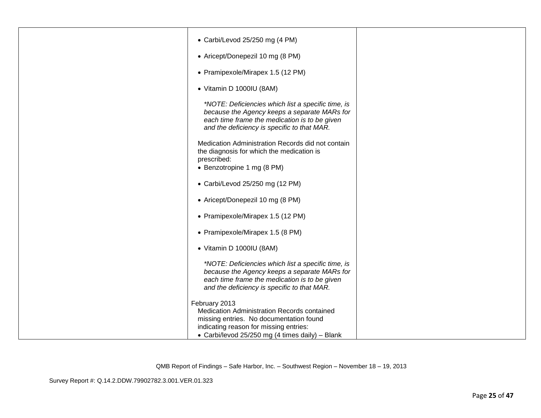| • Carbi/Levod 25/250 mg (4 PM)                                                                                                                                                                       |  |
|------------------------------------------------------------------------------------------------------------------------------------------------------------------------------------------------------|--|
| • Aricept/Donepezil 10 mg (8 PM)                                                                                                                                                                     |  |
| • Pramipexole/Mirapex 1.5 (12 PM)                                                                                                                                                                    |  |
| • Vitamin D 1000IU (8AM)                                                                                                                                                                             |  |
| *NOTE: Deficiencies which list a specific time, is<br>because the Agency keeps a separate MARs for<br>each time frame the medication is to be given<br>and the deficiency is specific to that MAR.   |  |
| Medication Administration Records did not contain<br>the diagnosis for which the medication is<br>prescribed:<br>• Benzotropine 1 mg (8 PM)                                                          |  |
| • Carbi/Levod 25/250 mg (12 PM)                                                                                                                                                                      |  |
| • Aricept/Donepezil 10 mg (8 PM)                                                                                                                                                                     |  |
| • Pramipexole/Mirapex 1.5 (12 PM)                                                                                                                                                                    |  |
| • Pramipexole/Mirapex 1.5 (8 PM)                                                                                                                                                                     |  |
| • Vitamin D 1000IU (8AM)                                                                                                                                                                             |  |
| *NOTE: Deficiencies which list a specific time, is<br>because the Agency keeps a separate MARs for<br>each time frame the medication is to be given<br>and the deficiency is specific to that MAR.   |  |
| February 2013<br>Medication Administration Records contained<br>missing entries. No documentation found<br>indicating reason for missing entries:<br>• Carbi/levod 25/250 mg (4 times daily) - Blank |  |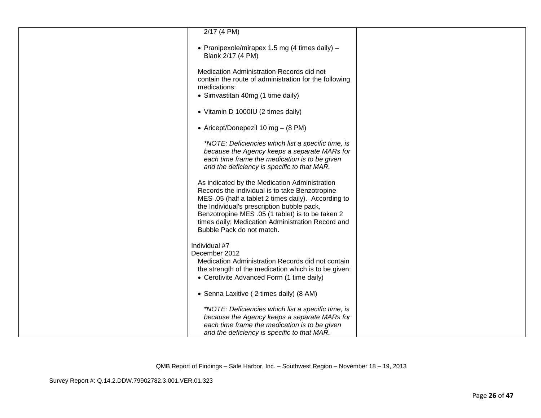| $2/17$ (4 PM)                                                                                                                                                                                                                                                                                                                              |  |
|--------------------------------------------------------------------------------------------------------------------------------------------------------------------------------------------------------------------------------------------------------------------------------------------------------------------------------------------|--|
| • Pranipexole/mirapex 1.5 mg (4 times daily) -<br>Blank 2/17 (4 PM)                                                                                                                                                                                                                                                                        |  |
| Medication Administration Records did not<br>contain the route of administration for the following<br>medications:<br>• Simvastitan 40mg (1 time daily)                                                                                                                                                                                    |  |
| • Vitamin D 1000IU (2 times daily)                                                                                                                                                                                                                                                                                                         |  |
| • Aricept/Donepezil 10 mg - (8 PM)                                                                                                                                                                                                                                                                                                         |  |
| *NOTE: Deficiencies which list a specific time, is<br>because the Agency keeps a separate MARs for<br>each time frame the medication is to be given<br>and the deficiency is specific to that MAR.                                                                                                                                         |  |
| As indicated by the Medication Administration<br>Records the individual is to take Benzotropine<br>MES .05 (half a tablet 2 times daily). According to<br>the Individual's prescription bubble pack,<br>Benzotropine MES .05 (1 tablet) is to be taken 2<br>times daily; Medication Administration Record and<br>Bubble Pack do not match. |  |
| Individual #7<br>December 2012<br>Medication Administration Records did not contain<br>the strength of the medication which is to be given:<br>• Cerotivite Advanced Form (1 time daily)                                                                                                                                                   |  |
| • Senna Laxitive (2 times daily) (8 AM)                                                                                                                                                                                                                                                                                                    |  |
| *NOTE: Deficiencies which list a specific time, is<br>because the Agency keeps a separate MARs for<br>each time frame the medication is to be given<br>and the deficiency is specific to that MAR.                                                                                                                                         |  |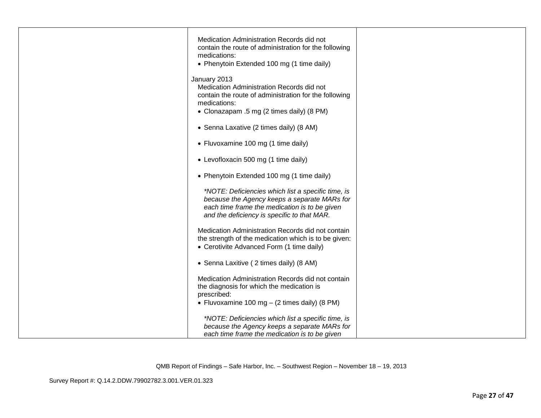| Medication Administration Records did not<br>contain the route of administration for the following |  |
|----------------------------------------------------------------------------------------------------|--|
| medications:                                                                                       |  |
| • Phenytoin Extended 100 mg (1 time daily)                                                         |  |
| January 2013                                                                                       |  |
| Medication Administration Records did not                                                          |  |
| contain the route of administration for the following<br>medications:                              |  |
| • Clonazapam .5 mg (2 times daily) (8 PM)                                                          |  |
| • Senna Laxative (2 times daily) (8 AM)                                                            |  |
| • Fluvoxamine 100 mg (1 time daily)                                                                |  |
| • Levofloxacin 500 mg (1 time daily)                                                               |  |
| • Phenytoin Extended 100 mg (1 time daily)                                                         |  |
| *NOTE: Deficiencies which list a specific time, is                                                 |  |
| because the Agency keeps a separate MARs for<br>each time frame the medication is to be given      |  |
| and the deficiency is specific to that MAR.                                                        |  |
| Medication Administration Records did not contain                                                  |  |
| the strength of the medication which is to be given:                                               |  |
| • Cerotivite Advanced Form (1 time daily)                                                          |  |
| • Senna Laxitive (2 times daily) (8 AM)                                                            |  |
| Medication Administration Records did not contain                                                  |  |
| the diagnosis for which the medication is<br>prescribed:                                           |  |
| • Fluvoxamine 100 mg $-$ (2 times daily) (8 PM)                                                    |  |
| *NOTE: Deficiencies which list a specific time, is                                                 |  |
| because the Agency keeps a separate MARs for                                                       |  |
| each time frame the medication is to be given                                                      |  |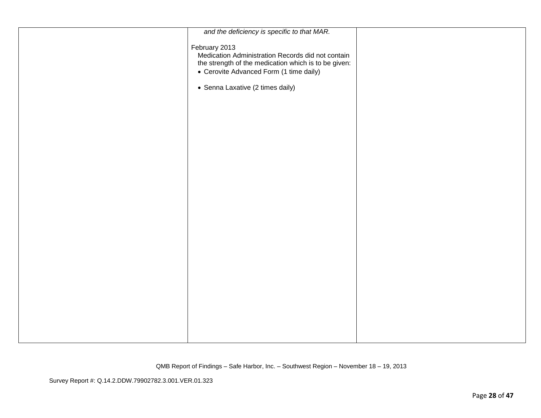| and the deficiency is specific to that MAR.                                                                                                                           |  |
|-----------------------------------------------------------------------------------------------------------------------------------------------------------------------|--|
| February 2013<br>Medication Administration Records did not contain<br>the strength of the medication which is to be given:<br>• Cerovite Advanced Form (1 time daily) |  |
| • Senna Laxative (2 times daily)                                                                                                                                      |  |
|                                                                                                                                                                       |  |
|                                                                                                                                                                       |  |
|                                                                                                                                                                       |  |
|                                                                                                                                                                       |  |
|                                                                                                                                                                       |  |
|                                                                                                                                                                       |  |
|                                                                                                                                                                       |  |
|                                                                                                                                                                       |  |
|                                                                                                                                                                       |  |
|                                                                                                                                                                       |  |
|                                                                                                                                                                       |  |
|                                                                                                                                                                       |  |
|                                                                                                                                                                       |  |
|                                                                                                                                                                       |  |
|                                                                                                                                                                       |  |
|                                                                                                                                                                       |  |
|                                                                                                                                                                       |  |
|                                                                                                                                                                       |  |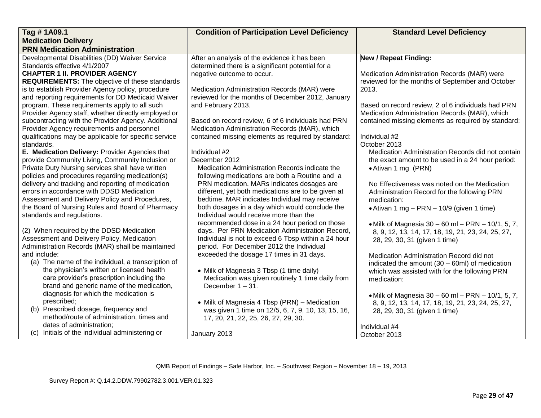| Tag #1A09.1                                                                                          | <b>Condition of Participation Level Deficiency</b>  | <b>Standard Level Deficiency</b>                        |
|------------------------------------------------------------------------------------------------------|-----------------------------------------------------|---------------------------------------------------------|
| <b>Medication Delivery</b>                                                                           |                                                     |                                                         |
| <b>PRN Medication Administration</b>                                                                 |                                                     |                                                         |
| Developmental Disabilities (DD) Waiver Service                                                       | After an analysis of the evidence it has been       | <b>New / Repeat Finding:</b>                            |
| Standards effective 4/1/2007                                                                         | determined there is a significant potential for a   |                                                         |
| <b>CHAPTER 1 II. PROVIDER AGENCY</b>                                                                 | negative outcome to occur.                          | Medication Administration Records (MAR) were            |
| <b>REQUIREMENTS:</b> The objective of these standards                                                |                                                     | reviewed for the months of September and October        |
| is to establish Provider Agency policy, procedure                                                    | Medication Administration Records (MAR) were        | 2013.                                                   |
| and reporting requirements for DD Medicaid Waiver                                                    | reviewed for the months of December 2012, January   |                                                         |
| program. These requirements apply to all such                                                        | and February 2013.                                  | Based on record review, 2 of 6 individuals had PRN      |
| Provider Agency staff, whether directly employed or                                                  |                                                     | Medication Administration Records (MAR), which          |
| subcontracting with the Provider Agency. Additional                                                  | Based on record review, 6 of 6 individuals had PRN  | contained missing elements as required by standard:     |
| Provider Agency requirements and personnel                                                           | Medication Administration Records (MAR), which      |                                                         |
| qualifications may be applicable for specific service                                                | contained missing elements as required by standard: | Individual #2                                           |
| standards.                                                                                           |                                                     | October 2013                                            |
| E. Medication Delivery: Provider Agencies that                                                       | Individual #2<br>December 2012                      | Medication Administration Records did not contain       |
| provide Community Living, Community Inclusion or<br>Private Duty Nursing services shall have written | Medication Administration Records indicate the      | the exact amount to be used in a 24 hour period:        |
| policies and procedures regarding medication(s)                                                      | following medications are both a Routine and a      | • Ativan 1 mg (PRN)                                     |
| delivery and tracking and reporting of medication                                                    | PRN medication. MARs indicates dosages are          | No Effectiveness was noted on the Medication            |
| errors in accordance with DDSD Medication                                                            | different, yet both medications are to be given at  | Administration Record for the following PRN             |
| Assessment and Delivery Policy and Procedures,                                                       | bedtime. MAR indicates Individual may receive       | medication:                                             |
| the Board of Nursing Rules and Board of Pharmacy                                                     | both dosages in a day which would conclude the      | • Ativan 1 mg $-$ PRN $-$ 10/9 (given 1 time)           |
| standards and regulations.                                                                           | Individual would receive more than the              |                                                         |
|                                                                                                      | recommended dose in a 24 hour period on those       | • Milk of Magnesia $30 - 60$ ml $-$ PRN $-$ 10/1, 5, 7, |
| (2) When required by the DDSD Medication                                                             | days. Per PRN Medication Administration Record,     | 8, 9, 12, 13, 14, 17, 18, 19, 21, 23, 24, 25, 27,       |
| Assessment and Delivery Policy, Medication                                                           | Individual is not to exceed 6 Tbsp within a 24 hour | 28, 29, 30, 31 (given 1 time)                           |
| Administration Records (MAR) shall be maintained                                                     | period. For December 2012 the Individual            |                                                         |
| and include:                                                                                         | exceeded the dosage 17 times in 31 days.            | Medication Administration Record did not                |
| (a) The name of the individual, a transcription of                                                   |                                                     | indicated the amount $(30 - 60$ ml) of medication       |
| the physician's written or licensed health                                                           | • Milk of Magnesia 3 Tbsp (1 time daily)            | which was assisted with for the following PRN           |
| care provider's prescription including the                                                           | Medication was given routinely 1 time daily from    | medication:                                             |
| brand and generic name of the medication,                                                            | December $1 - 31$ .                                 |                                                         |
| diagnosis for which the medication is                                                                |                                                     | • Milk of Magnesia $30 - 60$ ml $-$ PRN $-$ 10/1, 5, 7, |
| prescribed;                                                                                          | • Milk of Magnesia 4 Tbsp (PRN) - Medication        | 8, 9, 12, 13, 14, 17, 18, 19, 21, 23, 24, 25, 27,       |
| (b) Prescribed dosage, frequency and                                                                 | was given 1 time on 12/5, 6, 7, 9, 10, 13, 15, 16,  | 28, 29, 30, 31 (given 1 time)                           |
| method/route of administration, times and                                                            | 17, 20, 21, 22, 25, 26, 27, 29, 30.                 |                                                         |
| dates of administration;                                                                             |                                                     | Individual #4                                           |
| (c) Initials of the individual administering or                                                      | January 2013                                        | October 2013                                            |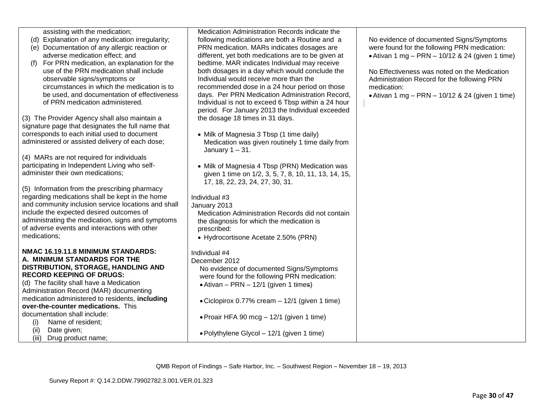| assisting with the medication;                                                                         | Medication Administration Records indicate the                                          |                                                                |
|--------------------------------------------------------------------------------------------------------|-----------------------------------------------------------------------------------------|----------------------------------------------------------------|
| (d) Explanation of any medication irregularity;                                                        | following medications are both a Routine and a                                          | No evidence of documented Signs/Symptoms                       |
| (e) Documentation of any allergic reaction or                                                          | PRN medication. MARs indicates dosages are                                              | were found for the following PRN medication:                   |
| adverse medication effect; and                                                                         | different, yet both medications are to be given at                                      | • Ativan 1 mg $-$ PRN $-$ 10/12 & 24 (given 1 time)            |
| For PRN medication, an explanation for the<br>(f)                                                      | bedtime. MAR indicates Individual may receive                                           |                                                                |
| use of the PRN medication shall include                                                                | both dosages in a day which would conclude the                                          | No Effectiveness was noted on the Medication                   |
| observable signs/symptoms or<br>circumstances in which the medication is to                            | Individual would receive more than the<br>recommended dose in a 24 hour period on those | Administration Record for the following PRN                    |
| be used, and documentation of effectiveness                                                            | days. Per PRN Medication Administration Record,                                         | medication:<br>• Ativan 1 mg – PRN – 10/12 & 24 (given 1 time) |
| of PRN medication administered.                                                                        | Individual is not to exceed 6 Tbsp within a 24 hour                                     |                                                                |
|                                                                                                        | period. For January 2013 the Individual exceeded                                        |                                                                |
| (3) The Provider Agency shall also maintain a                                                          | the dosage 18 times in 31 days.                                                         |                                                                |
| signature page that designates the full name that                                                      |                                                                                         |                                                                |
| corresponds to each initial used to document                                                           | • Milk of Magnesia 3 Tbsp (1 time daily)                                                |                                                                |
| administered or assisted delivery of each dose;                                                        | Medication was given routinely 1 time daily from                                        |                                                                |
|                                                                                                        | January $1 - 31$ .                                                                      |                                                                |
| (4) MARs are not required for individuals                                                              |                                                                                         |                                                                |
| participating in Independent Living who self-                                                          | • Milk of Magnesia 4 Tbsp (PRN) Medication was                                          |                                                                |
| administer their own medications;                                                                      | given 1 time on 1/2, 3, 5, 7, 8, 10, 11, 13, 14, 15,                                    |                                                                |
|                                                                                                        | 17, 18, 22, 23, 24, 27, 30, 31.                                                         |                                                                |
| (5) Information from the prescribing pharmacy                                                          |                                                                                         |                                                                |
| regarding medications shall be kept in the home<br>and community inclusion service locations and shall | Individual #3                                                                           |                                                                |
| include the expected desired outcomes of                                                               | January 2013<br>Medication Administration Records did not contain                       |                                                                |
| administrating the medication, signs and symptoms                                                      | the diagnosis for which the medication is                                               |                                                                |
| of adverse events and interactions with other                                                          | prescribed:                                                                             |                                                                |
| medications;                                                                                           | • Hydrocortisone Acetate 2.50% (PRN)                                                    |                                                                |
|                                                                                                        |                                                                                         |                                                                |
| NMAC 16.19.11.8 MINIMUM STANDARDS:                                                                     | Individual #4                                                                           |                                                                |
| A. MINIMUM STANDARDS FOR THE                                                                           | December 2012                                                                           |                                                                |
| DISTRIBUTION, STORAGE, HANDLING AND                                                                    | No evidence of documented Signs/Symptoms                                                |                                                                |
| <b>RECORD KEEPING OF DRUGS:</b>                                                                        | were found for the following PRN medication:                                            |                                                                |
| (d) The facility shall have a Medication                                                               | $\bullet$ Ativan - PRN - 12/1 (given 1 times)                                           |                                                                |
| Administration Record (MAR) documenting                                                                |                                                                                         |                                                                |
| medication administered to residents, including<br>over-the-counter medications. This                  | • Ciclopirox 0.77% cream - 12/1 (given 1 time)                                          |                                                                |
| documentation shall include:                                                                           |                                                                                         |                                                                |
| Name of resident;<br>(i)                                                                               | • Proair HFA 90 mcg $-$ 12/1 (given 1 time)                                             |                                                                |
| Date given;<br>(ii)                                                                                    |                                                                                         |                                                                |
| (iii) Drug product name;                                                                               | • Polythylene Glycol – 12/1 (given 1 time)                                              |                                                                |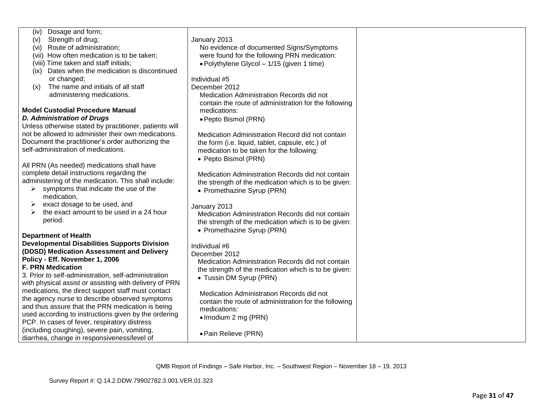| Dosage and form;<br>(iv)                               |                                                       |  |
|--------------------------------------------------------|-------------------------------------------------------|--|
| Strength of drug;<br>(v)                               | January 2013                                          |  |
| Route of administration;<br>(vi)                       | No evidence of documented Signs/Symptoms              |  |
|                                                        |                                                       |  |
| (vii) How often medication is to be taken;             | were found for the following PRN medication:          |  |
| (viii) Time taken and staff initials;                  | • Polythylene Glycol - 1/15 (given 1 time)            |  |
| Dates when the medication is discontinued<br>(ix)      |                                                       |  |
| or changed;                                            | Individual #5                                         |  |
| The name and initials of all staff<br>(x)              | December 2012                                         |  |
| administering medications.                             | Medication Administration Records did not             |  |
|                                                        | contain the route of administration for the following |  |
| <b>Model Custodial Procedure Manual</b>                | medications:                                          |  |
| <b>D. Administration of Drugs</b>                      | · Pepto Bismol (PRN)                                  |  |
| Unless otherwise stated by practitioner, patients will |                                                       |  |
| not be allowed to administer their own medications.    | Medication Administration Record did not contain      |  |
| Document the practitioner's order authorizing the      | the form (i.e. liquid, tablet, capsule, etc.) of      |  |
| self-administration of medications.                    | medication to be taken for the following:             |  |
|                                                        | • Pepto Bismol (PRN)                                  |  |
| All PRN (As needed) medications shall have             |                                                       |  |
| complete detail instructions regarding the             |                                                       |  |
| administering of the medication. This shall include:   | Medication Administration Records did not contain     |  |
| symptoms that indicate the use of the                  | the strength of the medication which is to be given:  |  |
| medication,                                            | • Promethazine Syrup (PRN)                            |  |
| exact dosage to be used, and                           | January 2013                                          |  |
| the exact amount to be used in a 24 hour<br>⋗          | Medication Administration Records did not contain     |  |
| period.                                                | the strength of the medication which is to be given:  |  |
|                                                        | • Promethazine Syrup (PRN)                            |  |
| <b>Department of Health</b>                            |                                                       |  |
| <b>Developmental Disabilities Supports Division</b>    | Individual #6                                         |  |
| (DDSD) Medication Assessment and Delivery              | December 2012                                         |  |
| Policy - Eff. November 1, 2006                         | Medication Administration Records did not contain     |  |
| <b>F. PRN Medication</b>                               | the strength of the medication which is to be given:  |  |
| 3. Prior to self-administration, self-administration   | • Tussin DM Syrup (PRN)                               |  |
| with physical assist or assisting with delivery of PRN |                                                       |  |
| medications, the direct support staff must contact     | Medication Administration Records did not             |  |
| the agency nurse to describe observed symptoms         |                                                       |  |
| and thus assure that the PRN medication is being       | contain the route of administration for the following |  |
| used according to instructions given by the ordering   | medications:                                          |  |
| PCP. In cases of fever, respiratory distress           | • Imodium 2 mg (PRN)                                  |  |
| (including coughing), severe pain, vomiting,           |                                                       |  |
| diarrhea, change in responsiveness/level of            | · Pain Relieve (PRN)                                  |  |
|                                                        |                                                       |  |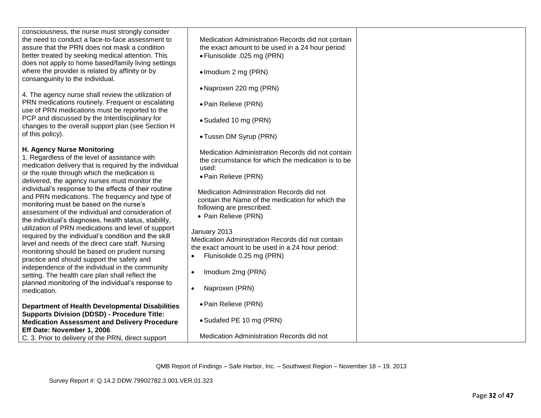| consciousness, the nurse must strongly consider<br>the need to conduct a face-to-face assessment to<br>assure that the PRN does not mask a condition<br>better treated by seeking medical attention. This<br>does not apply to home based/family living settings<br>where the provider is related by affinity or by<br>consanguinity to the individual.                                                                                                                                                                                                                                                                                                                                                                                                                                                                                                                                                                                                  | Medication Administration Records did not contain<br>the exact amount to be used in a 24 hour period:<br>• Flunisolide .025 mg (PRN)<br>• Imodium 2 mg (PRN)<br>• Naproxen 220 mg (PRN)                                                                                                                                                                                                                                                                                                                                            |  |
|----------------------------------------------------------------------------------------------------------------------------------------------------------------------------------------------------------------------------------------------------------------------------------------------------------------------------------------------------------------------------------------------------------------------------------------------------------------------------------------------------------------------------------------------------------------------------------------------------------------------------------------------------------------------------------------------------------------------------------------------------------------------------------------------------------------------------------------------------------------------------------------------------------------------------------------------------------|------------------------------------------------------------------------------------------------------------------------------------------------------------------------------------------------------------------------------------------------------------------------------------------------------------------------------------------------------------------------------------------------------------------------------------------------------------------------------------------------------------------------------------|--|
| 4. The agency nurse shall review the utilization of<br>PRN medications routinely. Frequent or escalating<br>use of PRN medications must be reported to the                                                                                                                                                                                                                                                                                                                                                                                                                                                                                                                                                                                                                                                                                                                                                                                               | • Pain Relieve (PRN)                                                                                                                                                                                                                                                                                                                                                                                                                                                                                                               |  |
| PCP and discussed by the Interdisciplinary for<br>changes to the overall support plan (see Section H                                                                                                                                                                                                                                                                                                                                                                                                                                                                                                                                                                                                                                                                                                                                                                                                                                                     | • Sudafed 10 mg (PRN)                                                                                                                                                                                                                                                                                                                                                                                                                                                                                                              |  |
| of this policy).                                                                                                                                                                                                                                                                                                                                                                                                                                                                                                                                                                                                                                                                                                                                                                                                                                                                                                                                         | • Tussin DM Syrup (PRN)                                                                                                                                                                                                                                                                                                                                                                                                                                                                                                            |  |
| H. Agency Nurse Monitoring<br>1. Regardless of the level of assistance with<br>medication delivery that is required by the individual<br>or the route through which the medication is<br>delivered, the agency nurses must monitor the<br>individual's response to the effects of their routine<br>and PRN medications. The frequency and type of<br>monitoring must be based on the nurse's<br>assessment of the individual and consideration of<br>the individual's diagnoses, health status, stability,<br>utilization of PRN medications and level of support<br>required by the individual's condition and the skill<br>level and needs of the direct care staff. Nursing<br>monitoring should be based on prudent nursing<br>practice and should support the safety and<br>independence of the individual in the community<br>setting. The health care plan shall reflect the<br>planned monitoring of the individual's response to<br>medication. | Medication Administration Records did not contain<br>the circumstance for which the medication is to be<br>used:<br>• Pain Relieve (PRN)<br>Medication Administration Records did not<br>contain the Name of the medication for which the<br>following are prescribed:<br>• Pain Relieve (PRN)<br>January 2013<br>Medication Administration Records did not contain<br>the exact amount to be used in a 24 hour period:<br>Flunisolide 0.25 mg (PRN)<br>$\bullet$<br>Imodium 2mg (PRN)<br>$\bullet$<br>Naproxen (PRN)<br>$\bullet$ |  |
| <b>Department of Health Developmental Disabilities</b>                                                                                                                                                                                                                                                                                                                                                                                                                                                                                                                                                                                                                                                                                                                                                                                                                                                                                                   | • Pain Relieve (PRN)                                                                                                                                                                                                                                                                                                                                                                                                                                                                                                               |  |
| <b>Supports Division (DDSD) - Procedure Title:</b><br><b>Medication Assessment and Delivery Procedure</b>                                                                                                                                                                                                                                                                                                                                                                                                                                                                                                                                                                                                                                                                                                                                                                                                                                                | • Sudafed PE 10 mg (PRN)                                                                                                                                                                                                                                                                                                                                                                                                                                                                                                           |  |
| Eff Date: November 1, 2006<br>C. 3. Prior to delivery of the PRN, direct support                                                                                                                                                                                                                                                                                                                                                                                                                                                                                                                                                                                                                                                                                                                                                                                                                                                                         | Medication Administration Records did not                                                                                                                                                                                                                                                                                                                                                                                                                                                                                          |  |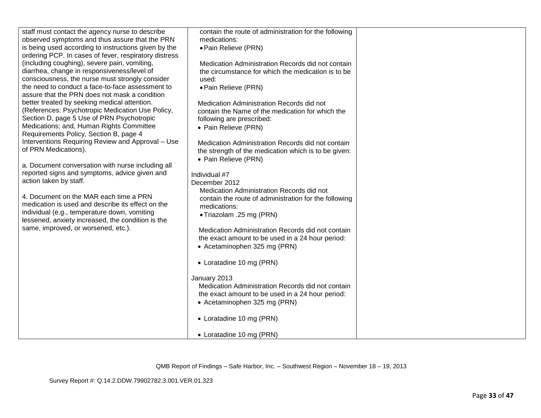| staff must contact the agency nurse to describe<br>observed symptoms and thus assure that the PRN<br>is being used according to instructions given by the<br>ordering PCP. In cases of fever, respiratory distress<br>(including coughing), severe pain, vomiting,<br>diarrhea, change in responsiveness/level of<br>consciousness, the nurse must strongly consider | contain the route of administration for the following<br>medications:<br>• Pain Relieve (PRN)<br>Medication Administration Records did not contain<br>the circumstance for which the medication is to be<br>used: |  |
|----------------------------------------------------------------------------------------------------------------------------------------------------------------------------------------------------------------------------------------------------------------------------------------------------------------------------------------------------------------------|-------------------------------------------------------------------------------------------------------------------------------------------------------------------------------------------------------------------|--|
| the need to conduct a face-to-face assessment to<br>assure that the PRN does not mask a condition<br>better treated by seeking medical attention.<br>(References: Psychotropic Medication Use Policy,<br>Section D, page 5 Use of PRN Psychotropic<br>Medications; and, Human Rights Committee                                                                       | • Pain Relieve (PRN)<br>Medication Administration Records did not<br>contain the Name of the medication for which the<br>following are prescribed:<br>• Pain Relieve (PRN)                                        |  |
| Requirements Policy, Section B, page 4<br>Interventions Requiring Review and Approval - Use<br>of PRN Medications).<br>a. Document conversation with nurse including all<br>reported signs and symptoms, advice given and                                                                                                                                            | Medication Administration Records did not contain<br>the strength of the medication which is to be given:<br>• Pain Relieve (PRN)<br>Individual #7                                                                |  |
| action taken by staff.<br>4. Document on the MAR each time a PRN<br>medication is used and describe its effect on the<br>individual (e.g., temperature down, vomiting<br>lessened, anxiety increased, the condition is the<br>same, improved, or worsened, etc.).                                                                                                    | December 2012<br>Medication Administration Records did not<br>contain the route of administration for the following<br>medications:<br>• Triazolam .25 mg (PRN)                                                   |  |
|                                                                                                                                                                                                                                                                                                                                                                      | Medication Administration Records did not contain<br>the exact amount to be used in a 24 hour period:<br>• Acetaminophen 325 mg (PRN)<br>• Loratadine 10 mg (PRN)                                                 |  |
|                                                                                                                                                                                                                                                                                                                                                                      | January 2013<br>Medication Administration Records did not contain<br>the exact amount to be used in a 24 hour period:<br>• Acetaminophen 325 mg (PRN)                                                             |  |
|                                                                                                                                                                                                                                                                                                                                                                      | • Loratadine 10 mg (PRN)<br>• Loratadine 10 mg (PRN)                                                                                                                                                              |  |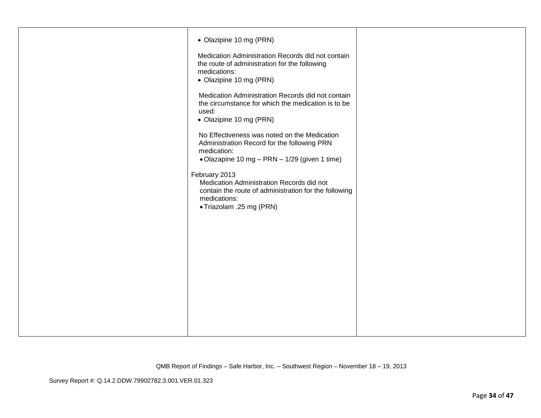| • Olazipine 10 mg (PRN)<br>Medication Administration Records did not contain<br>the route of administration for the following<br>medications:<br>• Olazipine 10 mg (PRN)<br>Medication Administration Records did not contain<br>the circumstance for which the medication is to be<br>used:<br>• Olazipine 10 mg (PRN)<br>No Effectiveness was noted on the Medication<br>Administration Record for the following PRN<br>medication:<br>• Olazapine 10 mg - PRN - 1/29 (given 1 time)<br>February 2013<br>Medication Administration Records did not<br>contain the route of administration for the following<br>medications:<br>• Triazolam .25 mg (PRN) |  |
|-----------------------------------------------------------------------------------------------------------------------------------------------------------------------------------------------------------------------------------------------------------------------------------------------------------------------------------------------------------------------------------------------------------------------------------------------------------------------------------------------------------------------------------------------------------------------------------------------------------------------------------------------------------|--|
|                                                                                                                                                                                                                                                                                                                                                                                                                                                                                                                                                                                                                                                           |  |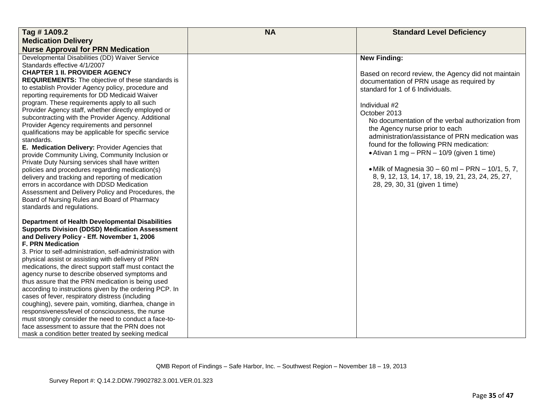| <b>Standard Level Deficiency</b><br>Tag #1A09.2<br><b>Medication Delivery</b><br><b>Nurse Approval for PRN Medication</b><br>Developmental Disabilities (DD) Waiver Service<br><b>New Finding:</b><br>Standards effective 4/1/2007<br><b>CHAPTER 1 II. PROVIDER AGENCY</b><br>Based on record review, the Agency did not maintain<br><b>REQUIREMENTS:</b> The objective of these standards is<br>documentation of PRN usage as required by<br>to establish Provider Agency policy, procedure and<br>standard for 1 of 6 Individuals.<br>reporting requirements for DD Medicaid Waiver<br>program. These requirements apply to all such<br>Individual #2<br>Provider Agency staff, whether directly employed or<br>October 2013<br>subcontracting with the Provider Agency. Additional<br>No documentation of the verbal authorization from<br>Provider Agency requirements and personnel<br>the Agency nurse prior to each |
|----------------------------------------------------------------------------------------------------------------------------------------------------------------------------------------------------------------------------------------------------------------------------------------------------------------------------------------------------------------------------------------------------------------------------------------------------------------------------------------------------------------------------------------------------------------------------------------------------------------------------------------------------------------------------------------------------------------------------------------------------------------------------------------------------------------------------------------------------------------------------------------------------------------------------|
|                                                                                                                                                                                                                                                                                                                                                                                                                                                                                                                                                                                                                                                                                                                                                                                                                                                                                                                            |
|                                                                                                                                                                                                                                                                                                                                                                                                                                                                                                                                                                                                                                                                                                                                                                                                                                                                                                                            |
|                                                                                                                                                                                                                                                                                                                                                                                                                                                                                                                                                                                                                                                                                                                                                                                                                                                                                                                            |
|                                                                                                                                                                                                                                                                                                                                                                                                                                                                                                                                                                                                                                                                                                                                                                                                                                                                                                                            |
|                                                                                                                                                                                                                                                                                                                                                                                                                                                                                                                                                                                                                                                                                                                                                                                                                                                                                                                            |
|                                                                                                                                                                                                                                                                                                                                                                                                                                                                                                                                                                                                                                                                                                                                                                                                                                                                                                                            |
|                                                                                                                                                                                                                                                                                                                                                                                                                                                                                                                                                                                                                                                                                                                                                                                                                                                                                                                            |
|                                                                                                                                                                                                                                                                                                                                                                                                                                                                                                                                                                                                                                                                                                                                                                                                                                                                                                                            |
|                                                                                                                                                                                                                                                                                                                                                                                                                                                                                                                                                                                                                                                                                                                                                                                                                                                                                                                            |
|                                                                                                                                                                                                                                                                                                                                                                                                                                                                                                                                                                                                                                                                                                                                                                                                                                                                                                                            |
|                                                                                                                                                                                                                                                                                                                                                                                                                                                                                                                                                                                                                                                                                                                                                                                                                                                                                                                            |
| qualifications may be applicable for specific service                                                                                                                                                                                                                                                                                                                                                                                                                                                                                                                                                                                                                                                                                                                                                                                                                                                                      |
| administration/assistance of PRN medication was<br>standards.                                                                                                                                                                                                                                                                                                                                                                                                                                                                                                                                                                                                                                                                                                                                                                                                                                                              |
| found for the following PRN medication:<br>E. Medication Delivery: Provider Agencies that                                                                                                                                                                                                                                                                                                                                                                                                                                                                                                                                                                                                                                                                                                                                                                                                                                  |
| • Ativan 1 mg – PRN – 10/9 (given 1 time)<br>provide Community Living, Community Inclusion or                                                                                                                                                                                                                                                                                                                                                                                                                                                                                                                                                                                                                                                                                                                                                                                                                              |
| Private Duty Nursing services shall have written                                                                                                                                                                                                                                                                                                                                                                                                                                                                                                                                                                                                                                                                                                                                                                                                                                                                           |
| • Milk of Magnesia $30 - 60$ ml $-$ PRN $-$ 10/1, 5, 7,<br>policies and procedures regarding medication(s)                                                                                                                                                                                                                                                                                                                                                                                                                                                                                                                                                                                                                                                                                                                                                                                                                 |
| 8, 9, 12, 13, 14, 17, 18, 19, 21, 23, 24, 25, 27,<br>delivery and tracking and reporting of medication                                                                                                                                                                                                                                                                                                                                                                                                                                                                                                                                                                                                                                                                                                                                                                                                                     |
| errors in accordance with DDSD Medication<br>28, 29, 30, 31 (given 1 time)                                                                                                                                                                                                                                                                                                                                                                                                                                                                                                                                                                                                                                                                                                                                                                                                                                                 |
| Assessment and Delivery Policy and Procedures, the                                                                                                                                                                                                                                                                                                                                                                                                                                                                                                                                                                                                                                                                                                                                                                                                                                                                         |
| Board of Nursing Rules and Board of Pharmacy                                                                                                                                                                                                                                                                                                                                                                                                                                                                                                                                                                                                                                                                                                                                                                                                                                                                               |
| standards and regulations.                                                                                                                                                                                                                                                                                                                                                                                                                                                                                                                                                                                                                                                                                                                                                                                                                                                                                                 |
| <b>Department of Health Developmental Disabilities</b>                                                                                                                                                                                                                                                                                                                                                                                                                                                                                                                                                                                                                                                                                                                                                                                                                                                                     |
| <b>Supports Division (DDSD) Medication Assessment</b>                                                                                                                                                                                                                                                                                                                                                                                                                                                                                                                                                                                                                                                                                                                                                                                                                                                                      |
| and Delivery Policy - Eff. November 1, 2006                                                                                                                                                                                                                                                                                                                                                                                                                                                                                                                                                                                                                                                                                                                                                                                                                                                                                |
| <b>F. PRN Medication</b>                                                                                                                                                                                                                                                                                                                                                                                                                                                                                                                                                                                                                                                                                                                                                                                                                                                                                                   |
| 3. Prior to self-administration, self-administration with                                                                                                                                                                                                                                                                                                                                                                                                                                                                                                                                                                                                                                                                                                                                                                                                                                                                  |
| physical assist or assisting with delivery of PRN                                                                                                                                                                                                                                                                                                                                                                                                                                                                                                                                                                                                                                                                                                                                                                                                                                                                          |
| medications, the direct support staff must contact the                                                                                                                                                                                                                                                                                                                                                                                                                                                                                                                                                                                                                                                                                                                                                                                                                                                                     |
| agency nurse to describe observed symptoms and                                                                                                                                                                                                                                                                                                                                                                                                                                                                                                                                                                                                                                                                                                                                                                                                                                                                             |
| thus assure that the PRN medication is being used                                                                                                                                                                                                                                                                                                                                                                                                                                                                                                                                                                                                                                                                                                                                                                                                                                                                          |
| according to instructions given by the ordering PCP. In                                                                                                                                                                                                                                                                                                                                                                                                                                                                                                                                                                                                                                                                                                                                                                                                                                                                    |
| cases of fever, respiratory distress (including<br>coughing), severe pain, vomiting, diarrhea, change in                                                                                                                                                                                                                                                                                                                                                                                                                                                                                                                                                                                                                                                                                                                                                                                                                   |
| responsiveness/level of consciousness, the nurse                                                                                                                                                                                                                                                                                                                                                                                                                                                                                                                                                                                                                                                                                                                                                                                                                                                                           |
| must strongly consider the need to conduct a face-to-                                                                                                                                                                                                                                                                                                                                                                                                                                                                                                                                                                                                                                                                                                                                                                                                                                                                      |
| face assessment to assure that the PRN does not                                                                                                                                                                                                                                                                                                                                                                                                                                                                                                                                                                                                                                                                                                                                                                                                                                                                            |
| mask a condition better treated by seeking medical                                                                                                                                                                                                                                                                                                                                                                                                                                                                                                                                                                                                                                                                                                                                                                                                                                                                         |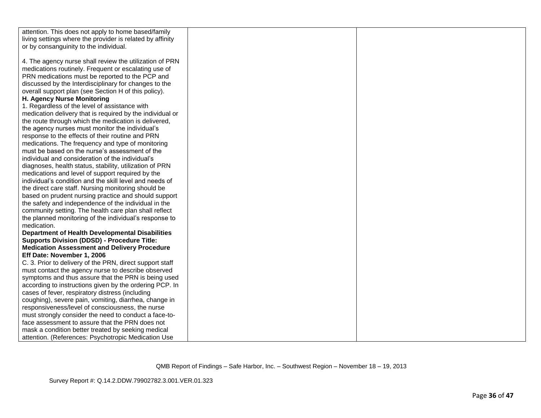| attention. This does not apply to home based/family       |  |
|-----------------------------------------------------------|--|
| living settings where the provider is related by affinity |  |
| or by consanguinity to the individual.                    |  |
|                                                           |  |
| 4. The agency nurse shall review the utilization of PRN   |  |
| medications routinely. Frequent or escalating use of      |  |
| PRN medications must be reported to the PCP and           |  |
| discussed by the Interdisciplinary for changes to the     |  |
| overall support plan (see Section H of this policy).      |  |
| H. Agency Nurse Monitoring                                |  |
| 1. Regardless of the level of assistance with             |  |
| medication delivery that is required by the individual or |  |
| the route through which the medication is delivered,      |  |
| the agency nurses must monitor the individual's           |  |
| response to the effects of their routine and PRN          |  |
| medications. The frequency and type of monitoring         |  |
| must be based on the nurse's assessment of the            |  |
| individual and consideration of the individual's          |  |
| diagnoses, health status, stability, utilization of PRN   |  |
| medications and level of support required by the          |  |
| individual's condition and the skill level and needs of   |  |
| the direct care staff. Nursing monitoring should be       |  |
| based on prudent nursing practice and should support      |  |
| the safety and independence of the individual in the      |  |
| community setting. The health care plan shall reflect     |  |
| the planned monitoring of the individual's response to    |  |
| medication.                                               |  |
| <b>Department of Health Developmental Disabilities</b>    |  |
| <b>Supports Division (DDSD) - Procedure Title:</b>        |  |
| <b>Medication Assessment and Delivery Procedure</b>       |  |
| Eff Date: November 1, 2006                                |  |
| C. 3. Prior to delivery of the PRN, direct support staff  |  |
| must contact the agency nurse to describe observed        |  |
| symptoms and thus assure that the PRN is being used       |  |
| according to instructions given by the ordering PCP. In   |  |
| cases of fever, respiratory distress (including           |  |
| coughing), severe pain, vomiting, diarrhea, change in     |  |
| responsiveness/level of consciousness, the nurse          |  |
| must strongly consider the need to conduct a face-to-     |  |
| face assessment to assure that the PRN does not           |  |
| mask a condition better treated by seeking medical        |  |
| attention. (References: Psychotropic Medication Use       |  |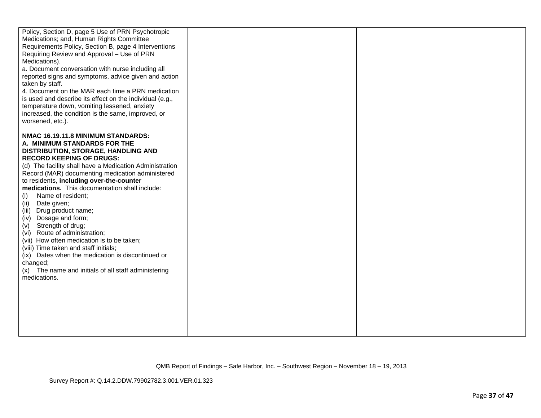| Policy, Section D, page 5 Use of PRN Psychotropic<br>Medications; and, Human Rights Committee<br>Requirements Policy, Section B, page 4 Interventions<br>Requiring Review and Approval - Use of PRN<br>Medications).<br>a. Document conversation with nurse including all<br>reported signs and symptoms, advice given and action<br>taken by staff.<br>4. Document on the MAR each time a PRN medication<br>is used and describe its effect on the individual (e.g.,<br>temperature down, vomiting lessened, anxiety<br>increased, the condition is the same, improved, or<br>worsened, etc.).                                                                                                                                                                   |  |
|-------------------------------------------------------------------------------------------------------------------------------------------------------------------------------------------------------------------------------------------------------------------------------------------------------------------------------------------------------------------------------------------------------------------------------------------------------------------------------------------------------------------------------------------------------------------------------------------------------------------------------------------------------------------------------------------------------------------------------------------------------------------|--|
| NMAC 16.19.11.8 MINIMUM STANDARDS:<br>A. MINIMUM STANDARDS FOR THE<br>DISTRIBUTION, STORAGE, HANDLING AND<br><b>RECORD KEEPING OF DRUGS:</b><br>(d) The facility shall have a Medication Administration<br>Record (MAR) documenting medication administered<br>to residents, including over-the-counter<br>medications. This documentation shall include:<br>Name of resident;<br>(i)<br>(ii)<br>Date given;<br>(iii)<br>Drug product name;<br>Dosage and form;<br>(iv)<br>(v) Strength of drug;<br>(vi) Route of administration;<br>(vii) How often medication is to be taken;<br>(viii) Time taken and staff initials;<br>(ix) Dates when the medication is discontinued or<br>changed;<br>(x) The name and initials of all staff administering<br>medications. |  |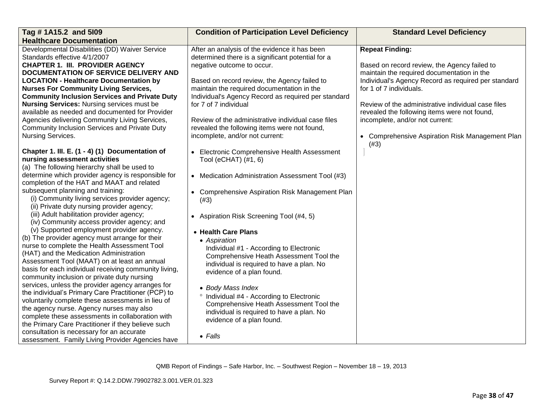| Tag # 1A15.2 and 5109                                                                   | <b>Condition of Participation Level Deficiency</b>  | <b>Standard Level Deficiency</b>                        |
|-----------------------------------------------------------------------------------------|-----------------------------------------------------|---------------------------------------------------------|
| <b>Healthcare Documentation</b>                                                         |                                                     |                                                         |
| Developmental Disabilities (DD) Waiver Service                                          | After an analysis of the evidence it has been       | <b>Repeat Finding:</b>                                  |
| Standards effective 4/1/2007                                                            | determined there is a significant potential for a   |                                                         |
| <b>CHAPTER 1. III. PROVIDER AGENCY</b>                                                  | negative outcome to occur.                          | Based on record review, the Agency failed to            |
| <b>DOCUMENTATION OF SERVICE DELIVERY AND</b>                                            |                                                     | maintain the required documentation in the              |
| <b>LOCATION - Healthcare Documentation by</b>                                           | Based on record review, the Agency failed to        | Individual's Agency Record as required per standard     |
| <b>Nurses For Community Living Services,</b>                                            | maintain the required documentation in the          | for 1 of 7 individuals.                                 |
| <b>Community Inclusion Services and Private Duty</b>                                    | Individual's Agency Record as required per standard |                                                         |
| <b>Nursing Services: Nursing services must be</b>                                       | for 7 of 7 individual                               | Review of the administrative individual case files      |
| available as needed and documented for Provider                                         |                                                     | revealed the following items were not found,            |
| Agencies delivering Community Living Services,                                          | Review of the administrative individual case files  | incomplete, and/or not current:                         |
| Community Inclusion Services and Private Duty                                           | revealed the following items were not found,        |                                                         |
| Nursing Services.                                                                       | incomplete, and/or not current:                     | • Comprehensive Aspiration Risk Management Plan<br>(#3) |
| Chapter 1. III. E. (1 - 4) (1) Documentation of                                         | • Electronic Comprehensive Health Assessment        |                                                         |
| nursing assessment activities                                                           | Tool (eCHAT) (#1, 6)                                |                                                         |
| (a) The following hierarchy shall be used to                                            |                                                     |                                                         |
| determine which provider agency is responsible for                                      | • Medication Administration Assessment Tool (#3)    |                                                         |
| completion of the HAT and MAAT and related                                              |                                                     |                                                         |
| subsequent planning and training:                                                       | • Comprehensive Aspiration Risk Management Plan     |                                                         |
| (i) Community living services provider agency;                                          | (#3)                                                |                                                         |
| (ii) Private duty nursing provider agency;                                              |                                                     |                                                         |
| (iii) Adult habilitation provider agency;                                               | • Aspiration Risk Screening Tool (#4, 5)            |                                                         |
| (iv) Community access provider agency; and                                              |                                                     |                                                         |
| (v) Supported employment provider agency.                                               | • Health Care Plans                                 |                                                         |
| (b) The provider agency must arrange for their                                          | • Aspiration                                        |                                                         |
| nurse to complete the Health Assessment Tool<br>(HAT) and the Medication Administration | Individual #1 - According to Electronic             |                                                         |
| Assessment Tool (MAAT) on at least an annual                                            | Comprehensive Heath Assessment Tool the             |                                                         |
| basis for each individual receiving community living,                                   | individual is required to have a plan. No           |                                                         |
| community inclusion or private duty nursing                                             | evidence of a plan found.                           |                                                         |
| services, unless the provider agency arranges for                                       |                                                     |                                                         |
| the individual's Primary Care Practitioner (PCP) to                                     | • Body Mass Index                                   |                                                         |
| voluntarily complete these assessments in lieu of                                       | ° Individual #4 - According to Electronic           |                                                         |
| the agency nurse. Agency nurses may also                                                | Comprehensive Heath Assessment Tool the             |                                                         |
| complete these assessments in collaboration with                                        | individual is required to have a plan. No           |                                                         |
| the Primary Care Practitioner if they believe such                                      | evidence of a plan found.                           |                                                         |
| consultation is necessary for an accurate                                               |                                                     |                                                         |
| assessment. Family Living Provider Agencies have                                        | $\bullet$ Falls                                     |                                                         |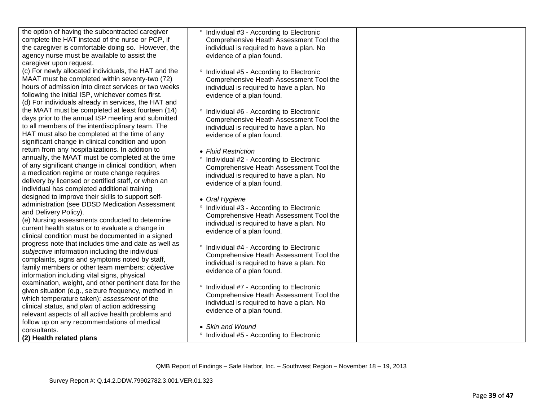| the option of having the subcontracted caregiver<br>complete the HAT instead of the nurse or PCP, if<br>the caregiver is comfortable doing so. However, the<br>agency nurse must be available to assist the<br>caregiver upon request.                                                                               | <sup>o</sup> Individual #3 - According to Electronic<br>Comprehensive Heath Assessment Tool the<br>individual is required to have a plan. No<br>evidence of a plan found.           |  |
|----------------------------------------------------------------------------------------------------------------------------------------------------------------------------------------------------------------------------------------------------------------------------------------------------------------------|-------------------------------------------------------------------------------------------------------------------------------------------------------------------------------------|--|
| (c) For newly allocated individuals, the HAT and the<br>MAAT must be completed within seventy-two (72)<br>hours of admission into direct services or two weeks<br>following the initial ISP, whichever comes first.<br>(d) For individuals already in services, the HAT and                                          | Individual #5 - According to Electronic<br>Comprehensive Heath Assessment Tool the<br>individual is required to have a plan. No<br>evidence of a plan found.                        |  |
| the MAAT must be completed at least fourteen (14)<br>days prior to the annual ISP meeting and submitted<br>to all members of the interdisciplinary team. The<br>HAT must also be completed at the time of any<br>significant change in clinical condition and upon                                                   | <sup>o</sup> Individual #6 - According to Electronic<br>Comprehensive Heath Assessment Tool the<br>individual is required to have a plan. No<br>evidence of a plan found.           |  |
| return from any hospitalizations. In addition to<br>annually, the MAAT must be completed at the time<br>of any significant change in clinical condition, when<br>a medication regime or route change requires<br>delivery by licensed or certified staff, or when an<br>individual has completed additional training | • Fluid Restriction<br>Individual #2 - According to Electronic<br>Comprehensive Heath Assessment Tool the<br>individual is required to have a plan. No<br>evidence of a plan found. |  |
| designed to improve their skills to support self-<br>administration (see DDSD Medication Assessment<br>and Delivery Policy).<br>(e) Nursing assessments conducted to determine<br>current health status or to evaluate a change in<br>clinical condition must be documented in a signed                              | • Oral Hygiene<br>° Individual #3 - According to Electronic<br>Comprehensive Heath Assessment Tool the<br>individual is required to have a plan. No<br>evidence of a plan found.    |  |
| progress note that includes time and date as well as<br>subjective information including the individual<br>complaints, signs and symptoms noted by staff,<br>family members or other team members; objective<br>information including vital signs, physical                                                          | ° Individual #4 - According to Electronic<br>Comprehensive Heath Assessment Tool the<br>individual is required to have a plan. No<br>evidence of a plan found.                      |  |
| examination, weight, and other pertinent data for the<br>given situation (e.g., seizure frequency, method in<br>which temperature taken); assessment of the<br>clinical status, and plan of action addressing<br>relevant aspects of all active health problems and                                                  | <sup>o</sup> Individual #7 - According to Electronic<br>Comprehensive Heath Assessment Tool the<br>individual is required to have a plan. No<br>evidence of a plan found.           |  |
| follow up on any recommendations of medical<br>consultants.<br>(2) Health related plans                                                                                                                                                                                                                              | • Skin and Wound<br>° Individual #5 - According to Electronic                                                                                                                       |  |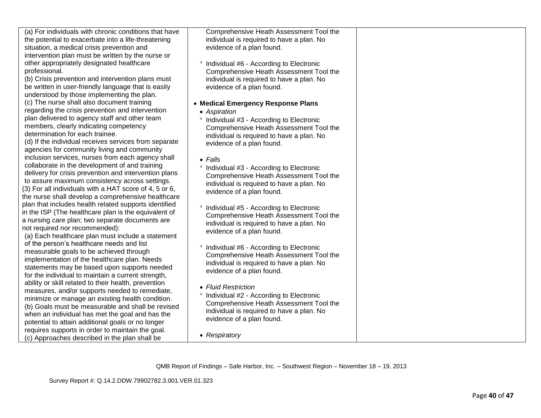| (a) For individuals with chronic conditions that have                                                  | Comprehensive Heath Assessment Tool the              |  |
|--------------------------------------------------------------------------------------------------------|------------------------------------------------------|--|
| the potential to exacerbate into a life-threatening                                                    | individual is required to have a plan. No            |  |
| situation, a medical crisis prevention and                                                             | evidence of a plan found.                            |  |
| intervention plan must be written by the nurse or                                                      |                                                      |  |
| other appropriately designated healthcare                                                              | <sup>o</sup> Individual #6 - According to Electronic |  |
| professional.                                                                                          | Comprehensive Heath Assessment Tool the              |  |
| (b) Crisis prevention and intervention plans must                                                      | individual is required to have a plan. No            |  |
| be written in user-friendly language that is easily                                                    | evidence of a plan found.                            |  |
| understood by those implementing the plan.                                                             |                                                      |  |
| (c) The nurse shall also document training                                                             | • Medical Emergency Response Plans                   |  |
| regarding the crisis prevention and intervention                                                       | • Aspiration                                         |  |
| plan delivered to agency staff and other team                                                          | <sup>o</sup> Individual #3 - According to Electronic |  |
| members, clearly indicating competency                                                                 | Comprehensive Heath Assessment Tool the              |  |
| determination for each trainee.                                                                        | individual is required to have a plan. No            |  |
| (d) If the individual receives services from separate                                                  | evidence of a plan found.                            |  |
| agencies for community living and community                                                            |                                                      |  |
| inclusion services, nurses from each agency shall                                                      |                                                      |  |
| collaborate in the development of and training                                                         | $\bullet$ Falls                                      |  |
| delivery for crisis prevention and intervention plans                                                  | ° Individual #3 - According to Electronic            |  |
| to assure maximum consistency across settings.                                                         | Comprehensive Heath Assessment Tool the              |  |
| (3) For all individuals with a HAT score of 4, 5 or 6,                                                 | individual is required to have a plan. No            |  |
| the nurse shall develop a comprehensive healthcare                                                     | evidence of a plan found.                            |  |
| plan that includes health related supports identified                                                  |                                                      |  |
| in the ISP (The healthcare plan is the equivalent of                                                   | <sup>o</sup> Individual #5 - According to Electronic |  |
| a nursing care plan; two separate documents are                                                        | Comprehensive Heath Assessment Tool the              |  |
| not required nor recommended):                                                                         | individual is required to have a plan. No            |  |
| (a) Each healthcare plan must include a statement                                                      | evidence of a plan found.                            |  |
| of the person's healthcare needs and list                                                              |                                                      |  |
| measurable goals to be achieved through                                                                | <sup>o</sup> Individual #6 - According to Electronic |  |
| implementation of the healthcare plan. Needs                                                           | Comprehensive Heath Assessment Tool the              |  |
| statements may be based upon supports needed                                                           | individual is required to have a plan. No            |  |
| for the individual to maintain a current strength,                                                     | evidence of a plan found.                            |  |
|                                                                                                        |                                                      |  |
| ability or skill related to their health, prevention<br>measures, and/or supports needed to remediate, | • Fluid Restriction                                  |  |
| minimize or manage an existing health condition.                                                       | <sup>o</sup> Individual #2 - According to Electronic |  |
| (b) Goals must be measurable and shall be revised                                                      | Comprehensive Heath Assessment Tool the              |  |
|                                                                                                        | individual is required to have a plan. No            |  |
| when an individual has met the goal and has the                                                        | evidence of a plan found.                            |  |
| potential to attain additional goals or no longer                                                      |                                                      |  |
| requires supports in order to maintain the goal.                                                       | • Respiratory                                        |  |
| (c) Approaches described in the plan shall be                                                          |                                                      |  |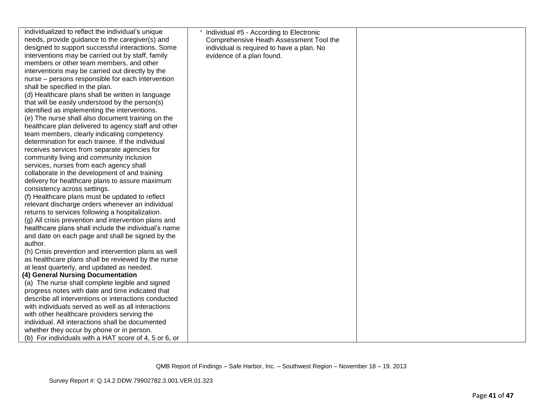| individualized to reflect the individual's unique     | <sup>o</sup> Individual #5 - According to Electronic |  |
|-------------------------------------------------------|------------------------------------------------------|--|
| needs, provide guidance to the caregiver(s) and       | Comprehensive Heath Assessment Tool the              |  |
| designed to support successful interactions. Some     | individual is required to have a plan. No            |  |
| interventions may be carried out by staff, family     | evidence of a plan found.                            |  |
| members or other team members, and other              |                                                      |  |
| interventions may be carried out directly by the      |                                                      |  |
| nurse – persons responsible for each intervention     |                                                      |  |
| shall be specified in the plan.                       |                                                      |  |
| (d) Healthcare plans shall be written in language     |                                                      |  |
| that will be easily understood by the person(s)       |                                                      |  |
| identified as implementing the interventions.         |                                                      |  |
| (e) The nurse shall also document training on the     |                                                      |  |
| healthcare plan delivered to agency staff and other   |                                                      |  |
| team members, clearly indicating competency           |                                                      |  |
| determination for each trainee. If the individual     |                                                      |  |
| receives services from separate agencies for          |                                                      |  |
| community living and community inclusion              |                                                      |  |
| services, nurses from each agency shall               |                                                      |  |
| collaborate in the development of and training        |                                                      |  |
| delivery for healthcare plans to assure maximum       |                                                      |  |
| consistency across settings.                          |                                                      |  |
| (f) Healthcare plans must be updated to reflect       |                                                      |  |
| relevant discharge orders whenever an individual      |                                                      |  |
| returns to services following a hospitalization.      |                                                      |  |
| (g) All crisis prevention and intervention plans and  |                                                      |  |
| healthcare plans shall include the individual's name  |                                                      |  |
| and date on each page and shall be signed by the      |                                                      |  |
| author.                                               |                                                      |  |
| (h) Crisis prevention and intervention plans as well  |                                                      |  |
| as healthcare plans shall be reviewed by the nurse    |                                                      |  |
| at least quarterly, and updated as needed.            |                                                      |  |
| (4) General Nursing Documentation                     |                                                      |  |
| (a) The nurse shall complete legible and signed       |                                                      |  |
| progress notes with date and time indicated that      |                                                      |  |
| describe all interventions or interactions conducted  |                                                      |  |
| with individuals served as well as all interactions   |                                                      |  |
| with other healthcare providers serving the           |                                                      |  |
| individual. All interactions shall be documented      |                                                      |  |
| whether they occur by phone or in person.             |                                                      |  |
| (b) For individuals with a HAT score of 4, 5 or 6, or |                                                      |  |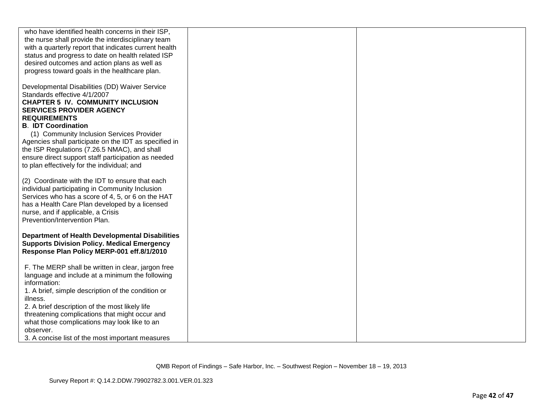| who have identified health concerns in their ISP,      |  |
|--------------------------------------------------------|--|
|                                                        |  |
| the nurse shall provide the interdisciplinary team     |  |
| with a quarterly report that indicates current health  |  |
| status and progress to date on health related ISP      |  |
| desired outcomes and action plans as well as           |  |
| progress toward goals in the healthcare plan.          |  |
|                                                        |  |
|                                                        |  |
| Developmental Disabilities (DD) Waiver Service         |  |
| Standards effective 4/1/2007                           |  |
| <b>CHAPTER 5 IV. COMMUNITY INCLUSION</b>               |  |
| <b>SERVICES PROVIDER AGENCY</b>                        |  |
| <b>REQUIREMENTS</b>                                    |  |
| <b>B. IDT Coordination</b>                             |  |
|                                                        |  |
| (1) Community Inclusion Services Provider              |  |
| Agencies shall participate on the IDT as specified in  |  |
| the ISP Regulations (7.26.5 NMAC), and shall           |  |
| ensure direct support staff participation as needed    |  |
| to plan effectively for the individual; and            |  |
|                                                        |  |
| (2) Coordinate with the IDT to ensure that each        |  |
|                                                        |  |
| individual participating in Community Inclusion        |  |
| Services who has a score of 4, 5, or 6 on the HAT      |  |
| has a Health Care Plan developed by a licensed         |  |
| nurse, and if applicable, a Crisis                     |  |
| Prevention/Intervention Plan.                          |  |
|                                                        |  |
| <b>Department of Health Developmental Disabilities</b> |  |
| <b>Supports Division Policy. Medical Emergency</b>     |  |
| Response Plan Policy MERP-001 eff.8/1/2010             |  |
|                                                        |  |
|                                                        |  |
| F. The MERP shall be written in clear, jargon free     |  |
| language and include at a minimum the following        |  |
| information:                                           |  |
| 1. A brief, simple description of the condition or     |  |
| illness.                                               |  |
| 2. A brief description of the most likely life         |  |
| threatening complications that might occur and         |  |
|                                                        |  |
| what those complications may look like to an           |  |
| observer.                                              |  |
| 3. A concise list of the most important measures       |  |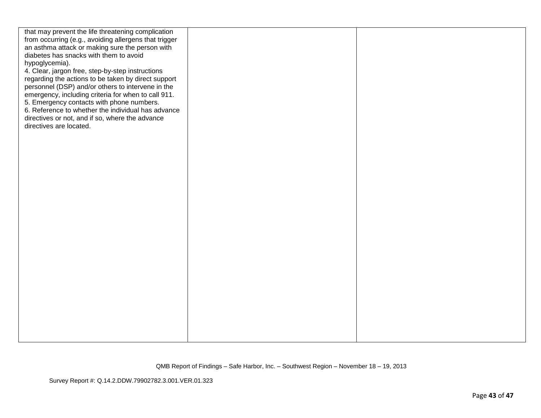| that may prevent the life threatening complication<br>from occurring (e.g., avoiding allergens that trigger<br>an asthma attack or making sure the person with<br>diabetes has snacks with them to avoid<br>hypoglycemia).<br>4. Clear, jargon free, step-by-step instructions<br>regarding the actions to be taken by direct support<br>personnel (DSP) and/or others to intervene in the<br>emergency, including criteria for when to call 911.<br>5. Emergency contacts with phone numbers.<br>6. Reference to whether the individual has advance<br>directives or not, and if so, where the advance<br>directives are located. |  |
|------------------------------------------------------------------------------------------------------------------------------------------------------------------------------------------------------------------------------------------------------------------------------------------------------------------------------------------------------------------------------------------------------------------------------------------------------------------------------------------------------------------------------------------------------------------------------------------------------------------------------------|--|
|                                                                                                                                                                                                                                                                                                                                                                                                                                                                                                                                                                                                                                    |  |
|                                                                                                                                                                                                                                                                                                                                                                                                                                                                                                                                                                                                                                    |  |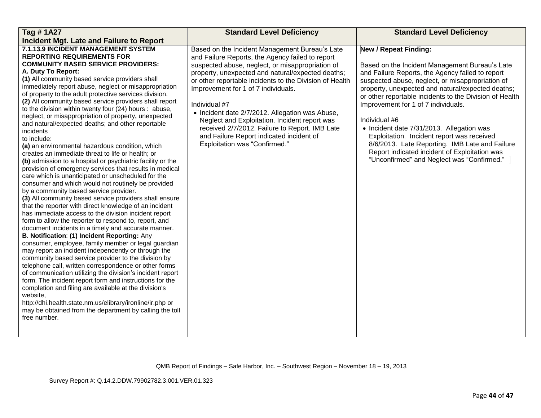| Tag #1A27                                                                                                                                                                                                                                                                                                                                                                                                                                                                                                                                                                                                                                                                                                                                                                                                                                                                                                                                                                                                                                                                                                                                                                                                                                                                                                                                                                                                                                                                                                                                                                                                                                                                                                                                                                                                                                                                            | <b>Standard Level Deficiency</b>                                                                                                                                                                                                                                                                                                                                                                                                                                                                                                                                  | <b>Standard Level Deficiency</b>                                                                                                                                                                                                                                                                                                                                                                                                                                                                                                                                                                           |
|--------------------------------------------------------------------------------------------------------------------------------------------------------------------------------------------------------------------------------------------------------------------------------------------------------------------------------------------------------------------------------------------------------------------------------------------------------------------------------------------------------------------------------------------------------------------------------------------------------------------------------------------------------------------------------------------------------------------------------------------------------------------------------------------------------------------------------------------------------------------------------------------------------------------------------------------------------------------------------------------------------------------------------------------------------------------------------------------------------------------------------------------------------------------------------------------------------------------------------------------------------------------------------------------------------------------------------------------------------------------------------------------------------------------------------------------------------------------------------------------------------------------------------------------------------------------------------------------------------------------------------------------------------------------------------------------------------------------------------------------------------------------------------------------------------------------------------------------------------------------------------------|-------------------------------------------------------------------------------------------------------------------------------------------------------------------------------------------------------------------------------------------------------------------------------------------------------------------------------------------------------------------------------------------------------------------------------------------------------------------------------------------------------------------------------------------------------------------|------------------------------------------------------------------------------------------------------------------------------------------------------------------------------------------------------------------------------------------------------------------------------------------------------------------------------------------------------------------------------------------------------------------------------------------------------------------------------------------------------------------------------------------------------------------------------------------------------------|
| <b>Incident Mgt. Late and Failure to Report</b>                                                                                                                                                                                                                                                                                                                                                                                                                                                                                                                                                                                                                                                                                                                                                                                                                                                                                                                                                                                                                                                                                                                                                                                                                                                                                                                                                                                                                                                                                                                                                                                                                                                                                                                                                                                                                                      |                                                                                                                                                                                                                                                                                                                                                                                                                                                                                                                                                                   |                                                                                                                                                                                                                                                                                                                                                                                                                                                                                                                                                                                                            |
| 7.1.13.9 INCIDENT MANAGEMENT SYSTEM<br><b>REPORTING REQUIREMENTS FOR</b><br><b>COMMUNITY BASED SERVICE PROVIDERS:</b><br>A. Duty To Report:<br>(1) All community based service providers shall<br>immediately report abuse, neglect or misappropriation<br>of property to the adult protective services division.<br>(2) All community based service providers shall report<br>to the division within twenty four (24) hours : abuse,<br>neglect, or misappropriation of property, unexpected<br>and natural/expected deaths; and other reportable<br>incidents<br>to include:<br>(a) an environmental hazardous condition, which<br>creates an immediate threat to life or health; or<br>(b) admission to a hospital or psychiatric facility or the<br>provision of emergency services that results in medical<br>care which is unanticipated or unscheduled for the<br>consumer and which would not routinely be provided<br>by a community based service provider.<br>(3) All community based service providers shall ensure<br>that the reporter with direct knowledge of an incident<br>has immediate access to the division incident report<br>form to allow the reporter to respond to, report, and<br>document incidents in a timely and accurate manner.<br>B. Notification: (1) Incident Reporting: Any<br>consumer, employee, family member or legal guardian<br>may report an incident independently or through the<br>community based service provider to the division by<br>telephone call, written correspondence or other forms<br>of communication utilizing the division's incident report<br>form. The incident report form and instructions for the<br>completion and filing are available at the division's<br>website,<br>http://dhi.health.state.nm.us/elibrary/ironline/ir.php or<br>may be obtained from the department by calling the toll<br>free number. | Based on the Incident Management Bureau's Late<br>and Failure Reports, the Agency failed to report<br>suspected abuse, neglect, or misappropriation of<br>property, unexpected and natural/expected deaths;<br>or other reportable incidents to the Division of Health<br>Improvement for 1 of 7 individuals.<br>Individual #7<br>• Incident date 2/7/2012. Allegation was Abuse,<br>Neglect and Exploitation. Incident report was<br>received 2/7/2012. Failure to Report. IMB Late<br>and Failure Report indicated incident of<br>Exploitation was "Confirmed." | <b>New / Repeat Finding:</b><br>Based on the Incident Management Bureau's Late<br>and Failure Reports, the Agency failed to report<br>suspected abuse, neglect, or misappropriation of<br>property, unexpected and natural/expected deaths;<br>or other reportable incidents to the Division of Health<br>Improvement for 1 of 7 individuals.<br>Individual #6<br>• Incident date 7/31/2013. Allegation was<br>Exploitation. Incident report was received<br>8/6/2013. Late Reporting. IMB Late and Failure<br>Report indicated incident of Exploitation was<br>"Unconfirmed" and Neglect was "Confirmed." |
|                                                                                                                                                                                                                                                                                                                                                                                                                                                                                                                                                                                                                                                                                                                                                                                                                                                                                                                                                                                                                                                                                                                                                                                                                                                                                                                                                                                                                                                                                                                                                                                                                                                                                                                                                                                                                                                                                      |                                                                                                                                                                                                                                                                                                                                                                                                                                                                                                                                                                   |                                                                                                                                                                                                                                                                                                                                                                                                                                                                                                                                                                                                            |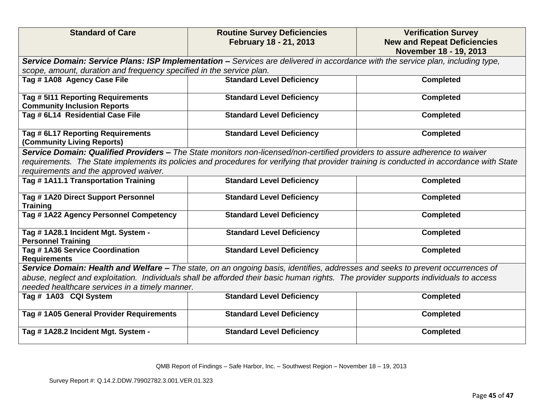| <b>Standard of Care</b>                                                                                                                                                                                                                                                                                           | <b>Routine Survey Deficiencies</b><br>February 18 - 21, 2013                                                                         | <b>Verification Survey</b><br><b>New and Repeat Deficiencies</b><br>November 18 - 19, 2013 |
|-------------------------------------------------------------------------------------------------------------------------------------------------------------------------------------------------------------------------------------------------------------------------------------------------------------------|--------------------------------------------------------------------------------------------------------------------------------------|--------------------------------------------------------------------------------------------|
|                                                                                                                                                                                                                                                                                                                   | Service Domain: Service Plans: ISP Implementation - Services are delivered in accordance with the service plan, including type,      |                                                                                            |
| scope, amount, duration and frequency specified in the service plan.                                                                                                                                                                                                                                              |                                                                                                                                      |                                                                                            |
| Tag #1A08 Agency Case File                                                                                                                                                                                                                                                                                        | <b>Standard Level Deficiency</b>                                                                                                     | <b>Completed</b>                                                                           |
| Tag # 5111 Reporting Requirements<br><b>Community Inclusion Reports</b>                                                                                                                                                                                                                                           | <b>Standard Level Deficiency</b>                                                                                                     | <b>Completed</b>                                                                           |
| Tag # 6L14 Residential Case File                                                                                                                                                                                                                                                                                  | <b>Standard Level Deficiency</b>                                                                                                     | <b>Completed</b>                                                                           |
| Tag # 6L17 Reporting Requirements<br>(Community Living Reports)                                                                                                                                                                                                                                                   | <b>Standard Level Deficiency</b>                                                                                                     | <b>Completed</b>                                                                           |
| Service Domain: Qualified Providers - The State monitors non-licensed/non-certified providers to assure adherence to waiver<br>requirements. The State implements its policies and procedures for verifying that provider training is conducted in accordance with State<br>requirements and the approved waiver. |                                                                                                                                      |                                                                                            |
| Tag #1A11.1 Transportation Training                                                                                                                                                                                                                                                                               | <b>Standard Level Deficiency</b>                                                                                                     | <b>Completed</b>                                                                           |
| Tag #1A20 Direct Support Personnel<br><b>Training</b>                                                                                                                                                                                                                                                             | <b>Standard Level Deficiency</b>                                                                                                     | <b>Completed</b>                                                                           |
| Tag #1A22 Agency Personnel Competency                                                                                                                                                                                                                                                                             | <b>Standard Level Deficiency</b>                                                                                                     | <b>Completed</b>                                                                           |
| Tag #1A28.1 Incident Mgt. System -<br><b>Personnel Training</b>                                                                                                                                                                                                                                                   | <b>Standard Level Deficiency</b>                                                                                                     | <b>Completed</b>                                                                           |
| Tag # 1A36 Service Coordination<br><b>Requirements</b>                                                                                                                                                                                                                                                            | <b>Standard Level Deficiency</b>                                                                                                     | <b>Completed</b>                                                                           |
|                                                                                                                                                                                                                                                                                                                   | Service Domain: Health and Welfare - The state, on an ongoing basis, identifies, addresses and seeks to prevent occurrences of       |                                                                                            |
|                                                                                                                                                                                                                                                                                                                   | abuse, neglect and exploitation. Individuals shall be afforded their basic human rights. The provider supports individuals to access |                                                                                            |
| needed healthcare services in a timely manner.                                                                                                                                                                                                                                                                    |                                                                                                                                      |                                                                                            |
| Tag # 1A03 CQI System                                                                                                                                                                                                                                                                                             | <b>Standard Level Deficiency</b>                                                                                                     | <b>Completed</b>                                                                           |
| Tag # 1A05 General Provider Requirements                                                                                                                                                                                                                                                                          | <b>Standard Level Deficiency</b>                                                                                                     | <b>Completed</b>                                                                           |
| Tag #1A28.2 Incident Mgt. System -                                                                                                                                                                                                                                                                                | <b>Standard Level Deficiency</b>                                                                                                     | <b>Completed</b>                                                                           |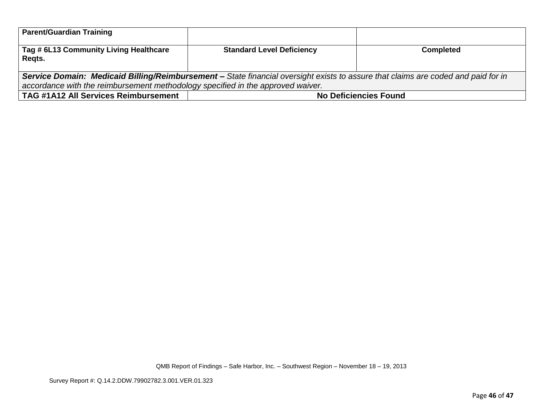| <b>Parent/Guardian Training</b>                                                                                                   |                                  |                              |
|-----------------------------------------------------------------------------------------------------------------------------------|----------------------------------|------------------------------|
| Tag # 6L13 Community Living Healthcare<br>Regts.                                                                                  | <b>Standard Level Deficiency</b> | <b>Completed</b>             |
| Service Domain: Medicaid Billing/Reimbursement - State financial oversight exists to assure that claims are coded and paid for in |                                  |                              |
| accordance with the reimbursement methodology specified in the approved waiver.                                                   |                                  |                              |
| TAG #1A12 All Services Reimbursement                                                                                              |                                  | <b>No Deficiencies Found</b> |